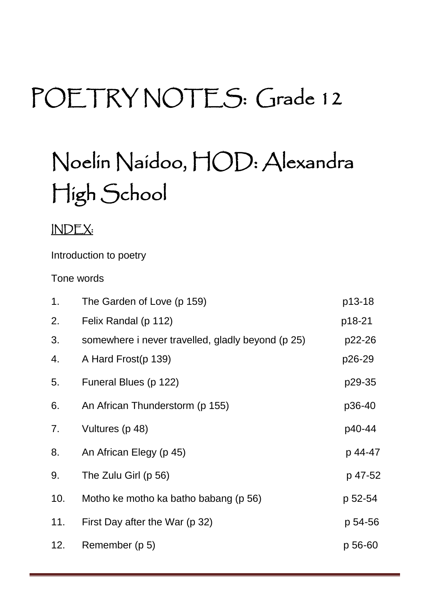# POETRY NOTES: Grade 12

# Noelin Naidoo, HOD: Alexandra High School

# INDEX:

Introduction to poetry

Tone words

| 1.  | The Garden of Love (p 159)                        | p13-18  |
|-----|---------------------------------------------------|---------|
| 2.  | Felix Randal (p 112)                              | p18-21  |
| 3.  | somewhere i never travelled, gladly beyond (p 25) | p22-26  |
| 4.  | A Hard Frost(p 139)                               | p26-29  |
| 5.  | Funeral Blues (p 122)                             | p29-35  |
| 6.  | An African Thunderstorm (p 155)                   | p36-40  |
| 7.  | Vultures (p 48)                                   | p40-44  |
| 8.  | An African Elegy (p 45)                           | p 44-47 |
| 9.  | The Zulu Girl (p 56)                              | p 47-52 |
| 10. | Motho ke motho ka batho babang (p 56)             | p 52-54 |
| 11. | First Day after the War (p 32)                    | p 54-56 |
| 12. | Remember (p 5)                                    | p 56-60 |
|     |                                                   |         |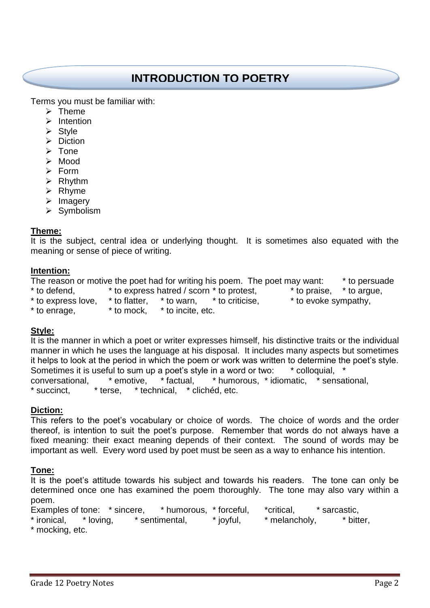# **INTRODUCTION TO POETRY**

Terms you must be familiar with:

- $\triangleright$  Theme
- $\triangleright$  Intention
- $\triangleright$  Style
- $\triangleright$  Diction
- $\triangleright$  Tone
- Mood
- $\triangleright$  Form
- $\triangleright$  Rhythm
- $\triangleright$  Rhyme
- $\triangleright$  Imagery
- $\triangleright$  Symbolism

# **Theme:**

It is the subject, central idea or underlying thought. It is sometimes also equated with the meaning or sense of piece of writing.

# **Intention:**

The reason or motive the poet had for writing his poem. The poet may want: \* to persuade \* to defend, \* to express hatred / scorn \* to protest, \* to praise, \* to argue,  $*$  to express love,  $*$  to flatter,  $*$  to warn,  $*$  to criticise,  $*$  to evoke sympathy,

 $*$  to enrage,  $*$  to mock,  $*$  to incite, etc.

# **Style:**

It is the manner in which a poet or writer expresses himself, his distinctive traits or the individual manner in which he uses the language at his disposal. It includes many aspects but sometimes it helps to look at the period in which the poem or work was written to determine the poet's style. Sometimes it is useful to sum up a poet's style in a word or two: \* colloquial, conversational, \* emotive, \* factual, \* humorous, \* idiomatic, \* sensational, \* succinct, \* terse, \* technical, \* clichéd, etc.

# **Diction:**

This refers to the poet's vocabulary or choice of words. The choice of words and the order thereof, is intention to suit the poet's purpose. Remember that words do not always have a fixed meaning: their exact meaning depends of their context. The sound of words may be important as well. Every word used by poet must be seen as a way to enhance his intention.

#### **Tone:**

It is the poet's attitude towards his subject and towards his readers. The tone can only be determined once one has examined the poem thoroughly. The tone may also vary within a poem.

Examples of tone: \* sincere, \* humorous, \* forceful, \* critical, \* sarcastic, \* ironical, \* loving, \* sentimental, \* joyful, \* melancholy, \* bitter, \* mocking, etc.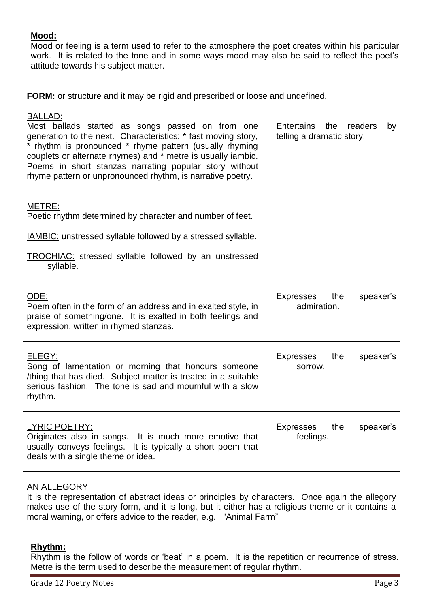# **Mood:**

Mood or feeling is a term used to refer to the atmosphere the poet creates within his particular work. It is related to the tone and in some ways mood may also be said to reflect the poet's attitude towards his subject matter.

| FORM: or structure and it may be rigid and prescribed or loose and undefined.                                                                                                                                                                                                                                                                                                          |  |                                                           |  |  |  |  |
|----------------------------------------------------------------------------------------------------------------------------------------------------------------------------------------------------------------------------------------------------------------------------------------------------------------------------------------------------------------------------------------|--|-----------------------------------------------------------|--|--|--|--|
|                                                                                                                                                                                                                                                                                                                                                                                        |  |                                                           |  |  |  |  |
| <u>BALLAD:</u><br>Most ballads started as songs passed on from one<br>generation to the next. Characteristics: * fast moving story,<br>* rhythm is pronounced * rhyme pattern (usually rhyming<br>couplets or alternate rhymes) and * metre is usually iambic.<br>Poems in short stanzas narrating popular story without<br>rhyme pattern or unpronounced rhythm, is narrative poetry. |  | Entertains the readers<br>by<br>telling a dramatic story. |  |  |  |  |
| METRE:<br>Poetic rhythm determined by character and number of feet.<br><b>IAMBIC:</b> unstressed syllable followed by a stressed syllable.<br><b>TROCHIAC:</b> stressed syllable followed by an unstressed<br>syllable.                                                                                                                                                                |  |                                                           |  |  |  |  |
| ODE:<br>Poem often in the form of an address and in exalted style, in<br>praise of something/one. It is exalted in both feelings and<br>expression, written in rhymed stanzas.                                                                                                                                                                                                         |  | Expresses<br>the<br>speaker's<br>admiration.              |  |  |  |  |
| ELEGY:<br>Song of lamentation or morning that honours someone<br>/thing that has died. Subject matter is treated in a suitable<br>serious fashion. The tone is sad and mournful with a slow<br>rhythm.                                                                                                                                                                                 |  | <b>Expresses</b><br>the<br>speaker's<br>sorrow.           |  |  |  |  |
| <b>LYRIC POETRY:</b><br>Originates also in songs. It is much more emotive that<br>usually conveys feelings. It is typically a short poem that<br>deals with a single theme or idea.                                                                                                                                                                                                    |  | Expresses<br>the<br>speaker's<br>feelings.                |  |  |  |  |
| AN ALLEGORY                                                                                                                                                                                                                                                                                                                                                                            |  |                                                           |  |  |  |  |

It is the representation of abstract ideas or principles by characters. Once again the allegory makes use of the story form, and it is long, but it either has a religious theme or it contains a moral warning, or offers advice to the reader, e.g. "Animal Farm"

# **Rhythm:**

Rhythm is the follow of words or 'beat' in a poem. It is the repetition or recurrence of stress. Metre is the term used to describe the measurement of regular rhythm.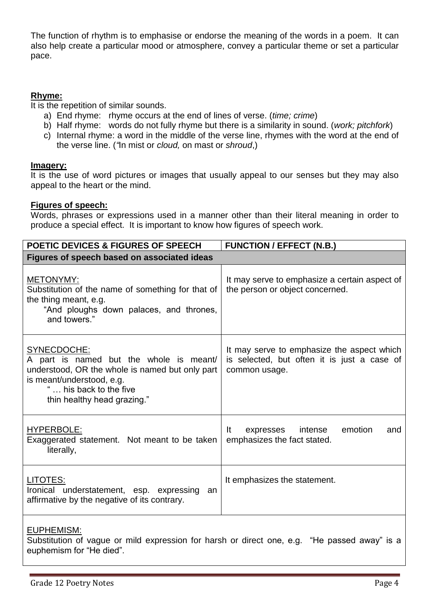The function of rhythm is to emphasise or endorse the meaning of the words in a poem. It can also help create a particular mood or atmosphere, convey a particular theme or set a particular pace.

# **Rhyme:**

It is the repetition of similar sounds.

- a) End rhyme: rhyme occurs at the end of lines of verse. (*time; crime*)
- b) Half rhyme: words do not fully rhyme but there is a similarity in sound. (*work; pitchfork*)
- c) Internal rhyme: a word in the middle of the verse line, rhymes with the word at the end of the verse line. (*"*In mist or *cloud,* on mast or *shroud*,)

#### **Imagery:**

It is the use of word pictures or images that usually appeal to our senses but they may also appeal to the heart or the mind.

### **Figures of speech:**

Words, phrases or expressions used in a manner other than their literal meaning in order to produce a special effect. It is important to know how figures of speech work.

| <b>POETIC DEVICES &amp; FIGURES OF SPEECH</b>                                                                                                                                                   | <b>FUNCTION / EFFECT (N.B.)</b>                                                                            |
|-------------------------------------------------------------------------------------------------------------------------------------------------------------------------------------------------|------------------------------------------------------------------------------------------------------------|
| Figures of speech based on associated ideas                                                                                                                                                     |                                                                                                            |
| <b>METONYMY:</b><br>Substitution of the name of something for that of<br>the thing meant, e.g.<br>"And ploughs down palaces, and thrones,<br>and towers."                                       | It may serve to emphasize a certain aspect of<br>the person or object concerned.                           |
| SYNECDOCHE:<br>A part is named but the whole is meant/<br>understood, OR the whole is named but only part<br>is meant/understood, e.g.<br>" his back to the five<br>thin healthy head grazing." | It may serve to emphasize the aspect which<br>is selected, but often it is just a case of<br>common usage. |
| <b>HYPERBOLE:</b><br>Exaggerated statement. Not meant to be taken<br>literally,                                                                                                                 | emotion<br>It.<br>expresses<br>intense<br>and<br>emphasizes the fact stated.                               |
| LITOTES:<br>Ironical understatement, esp. expressing an<br>affirmative by the negative of its contrary.                                                                                         | It emphasizes the statement.                                                                               |

### EUPHEMISM:

Substitution of vague or mild expression for harsh or direct one, e.g. "He passed away" is a euphemism for "He died".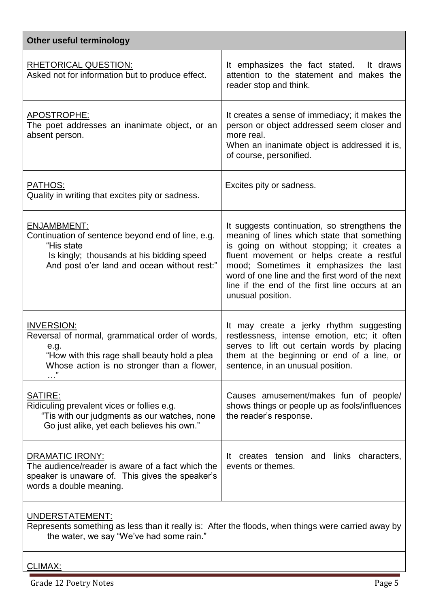| Other useful terminology                                                                                                                                                              |                                                                                                                                                                                                                                                                                                                                                            |  |  |  |
|---------------------------------------------------------------------------------------------------------------------------------------------------------------------------------------|------------------------------------------------------------------------------------------------------------------------------------------------------------------------------------------------------------------------------------------------------------------------------------------------------------------------------------------------------------|--|--|--|
| <b>RHETORICAL QUESTION:</b><br>Asked not for information but to produce effect.                                                                                                       | It emphasizes the fact stated. It draws<br>attention to the statement and makes the<br>reader stop and think.                                                                                                                                                                                                                                              |  |  |  |
| APOSTROPHE:<br>The poet addresses an inanimate object, or an<br>absent person.                                                                                                        | It creates a sense of immediacy; it makes the<br>person or object addressed seem closer and<br>more real.<br>When an inanimate object is addressed it is,<br>of course, personified.                                                                                                                                                                       |  |  |  |
| <u>PATHOS:</u><br>Quality in writing that excites pity or sadness.                                                                                                                    | Excites pity or sadness.                                                                                                                                                                                                                                                                                                                                   |  |  |  |
| <b>ENJAMBMENT:</b><br>Continuation of sentence beyond end of line, e.g.<br>"His state<br>Is kingly; thousands at his bidding speed<br>And post o'er land and ocean without rest:"     | It suggests continuation, so strengthens the<br>meaning of lines which state that something<br>is going on without stopping; it creates a<br>fluent movement or helps create a restful<br>mood; Sometimes it emphasizes the last<br>word of one line and the first word of the next<br>line if the end of the first line occurs at an<br>unusual position. |  |  |  |
| <b>INVERSION:</b><br>Reversal of normal, grammatical order of words,<br>e.g.<br>"How with this rage shall beauty hold a plea<br>Whose action is no stronger than a flower,<br>,,<br>. | It may create a jerky rhythm suggesting<br>restlessness, intense emotion, etc; it often<br>serves to lift out certain words by placing<br>them at the beginning or end of a line, or<br>sentence, in an unusual position.                                                                                                                                  |  |  |  |
| SATIRE:<br>Ridiculing prevalent vices or follies e.g.<br>"Tis with our judgments as our watches, none<br>Go just alike, yet each believes his own."                                   | Causes amusement/makes fun of people/<br>shows things or people up as fools/influences<br>the reader's response.                                                                                                                                                                                                                                           |  |  |  |
| <b>DRAMATIC IRONY:</b><br>The audience/reader is aware of a fact which the<br>speaker is unaware of. This gives the speaker's<br>words a double meaning.                              | creates tension and links characters,<br>It.<br>events or themes.                                                                                                                                                                                                                                                                                          |  |  |  |
|                                                                                                                                                                                       |                                                                                                                                                                                                                                                                                                                                                            |  |  |  |

# UNDERSTATEMENT:

Represents something as less than it really is: After the floods, when things were carried away by the water, we say "We've had some rain."

# CLIMAX: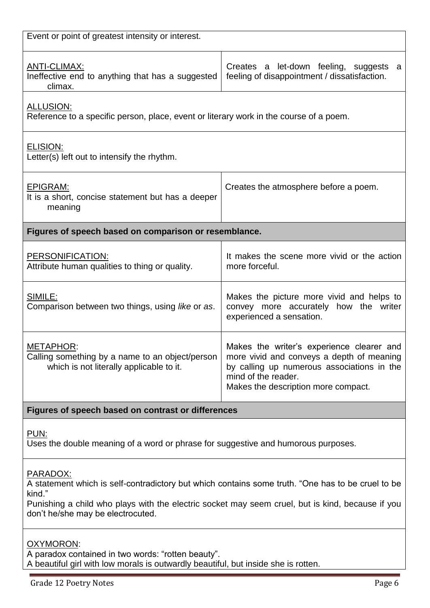| Event or point of greatest intensity or interest.                                                                                                                                                                                                                                                              |                                                                                                                |  |  |  |  |  |
|----------------------------------------------------------------------------------------------------------------------------------------------------------------------------------------------------------------------------------------------------------------------------------------------------------------|----------------------------------------------------------------------------------------------------------------|--|--|--|--|--|
| <u>ANTI-CLIMAX:</u><br>Ineffective end to anything that has a suggested<br>climax.                                                                                                                                                                                                                             | Creates a let-down feeling, suggests a<br>feeling of disappointment / dissatisfaction.                         |  |  |  |  |  |
| <b>ALLUSION:</b>                                                                                                                                                                                                                                                                                               | Reference to a specific person, place, event or literary work in the course of a poem.                         |  |  |  |  |  |
| ELISION:<br>Letter(s) left out to intensify the rhythm.                                                                                                                                                                                                                                                        |                                                                                                                |  |  |  |  |  |
| <b>EPIGRAM:</b><br>It is a short, concise statement but has a deeper<br>meaning                                                                                                                                                                                                                                | Creates the atmosphere before a poem.                                                                          |  |  |  |  |  |
| Figures of speech based on comparison or resemblance.                                                                                                                                                                                                                                                          |                                                                                                                |  |  |  |  |  |
| PERSONIFICATION:<br>Attribute human qualities to thing or quality.                                                                                                                                                                                                                                             | It makes the scene more vivid or the action<br>more forceful.                                                  |  |  |  |  |  |
| SIMILE:<br>Comparison between two things, using like or as.                                                                                                                                                                                                                                                    | Makes the picture more vivid and helps to<br>convey more accurately how the writer<br>experienced a sensation. |  |  |  |  |  |
| Makes the writer's experience clearer and<br>METAPHOR:<br>Calling something by a name to an object/person<br>more vivid and conveys a depth of meaning<br>which is not literally applicable to it.<br>by calling up numerous associations in the<br>mind of the reader.<br>Makes the description more compact. |                                                                                                                |  |  |  |  |  |
| Figures of speech based on contrast or differences                                                                                                                                                                                                                                                             |                                                                                                                |  |  |  |  |  |
| PUN:<br>Uses the double meaning of a word or phrase for suggestive and humorous purposes.                                                                                                                                                                                                                      |                                                                                                                |  |  |  |  |  |
| PARADOX:<br>A statement which is self-contradictory but which contains some truth. "One has to be cruel to be<br>kind."<br>Punishing a child who plays with the electric socket may seem cruel, but is kind, because if you<br>don't he/she may be electrocuted.                                               |                                                                                                                |  |  |  |  |  |
| OXYMORON:<br>A paradox contained in two words: "rotten beauty".<br>A beautiful girl with low morals is outwardly beautiful, but inside she is rotten.                                                                                                                                                          |                                                                                                                |  |  |  |  |  |
| <b>Grade 12 Poetry Notes</b><br>Page 6                                                                                                                                                                                                                                                                         |                                                                                                                |  |  |  |  |  |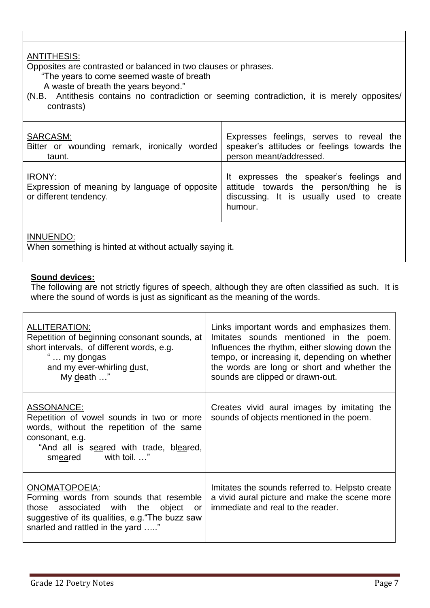# ANTITHESIS:

Opposites are contrasted or balanced in two clauses or phrases.

"The years to come seemed waste of breath

A waste of breath the years beyond."

(N.B. Antithesis contains no contradiction or seeming contradiction, it is merely opposites/ contrasts)

| SARCASM:                                                                                 | Expresses feelings, serves to reveal the                                                                                                  |
|------------------------------------------------------------------------------------------|-------------------------------------------------------------------------------------------------------------------------------------------|
| Bitter or wounding remark, ironically worded                                             | speaker's attitudes or feelings towards the                                                                                               |
| taunt.                                                                                   | person meant/addressed.                                                                                                                   |
| <b>IRONY:</b><br>Expression of meaning by language of opposite<br>or different tendency. | It expresses the speaker's feelings and<br>attitude towards the person/thing he is<br>discussing. It is usually used to create<br>humour. |

# INNUENDO:

When something is hinted at without actually saying it.

# **Sound devices:**

The following are not strictly figures of speech, although they are often classified as such. It is where the sound of words is just as significant as the meaning of the words.

| <b>ALLITERATION:</b><br>Repetition of beginning consonant sounds, at<br>short intervals, of different words, e.g.<br>my dongas<br>and my ever-whirling dust,<br>My death "                      | Links important words and emphasizes them.<br>Imitates sounds mentioned in the poem.<br>Influences the rhythm, either slowing down the<br>tempo, or increasing it, depending on whether<br>the words are long or short and whether the<br>sounds are clipped or drawn-out. |
|-------------------------------------------------------------------------------------------------------------------------------------------------------------------------------------------------|----------------------------------------------------------------------------------------------------------------------------------------------------------------------------------------------------------------------------------------------------------------------------|
| ASSONANCE:<br>Repetition of vowel sounds in two or more<br>words, without the repetition of the same<br>consonant, e.g.<br>"And all is seared with trade, bleared,<br>with toil. "<br>smeared   | Creates vivid aural images by imitating the<br>sounds of objects mentioned in the poem.                                                                                                                                                                                    |
| ONOMATOPOEIA:<br>Forming words from sounds that resemble<br>those associated with the<br>object<br>or -<br>suggestive of its qualities, e.g. "The buzz saw<br>snarled and rattled in the yard " | Imitates the sounds referred to. Helpsto create<br>a vivid aural picture and make the scene more<br>immediate and real to the reader.                                                                                                                                      |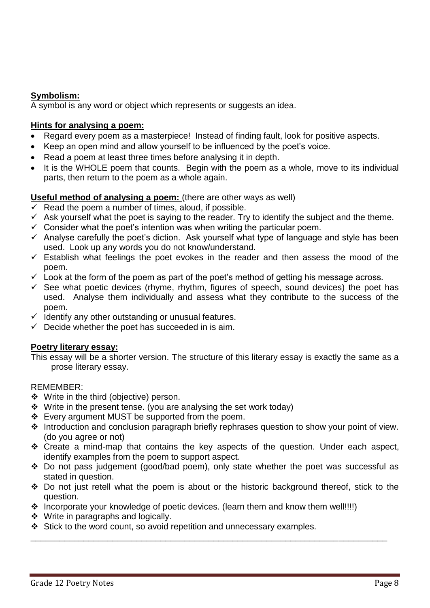# **Symbolism:**

A symbol is any word or object which represents or suggests an idea.

# **Hints for analysing a poem:**

- Regard every poem as a masterpiece! Instead of finding fault, look for positive aspects.
- Keep an open mind and allow yourself to be influenced by the poet's voice.
- Read a poem at least three times before analysing it in depth.
- It is the WHOLE poem that counts. Begin with the poem as a whole, move to its individual parts, then return to the poem as a whole again.

# **Useful method of analysing a poem:** (there are other ways as well)

- $\checkmark$  Read the poem a number of times, aloud, if possible.
- $\checkmark$  Ask yourself what the poet is saying to the reader. Try to identify the subject and the theme.
- $\checkmark$  Consider what the poet's intention was when writing the particular poem.
- $\checkmark$  Analyse carefully the poet's diction. Ask yourself what type of language and style has been used. Look up any words you do not know/understand.
- $\checkmark$  Establish what feelings the poet evokes in the reader and then assess the mood of the poem.
- $\checkmark$  Look at the form of the poem as part of the poet's method of getting his message across.
- $\checkmark$  See what poetic devices (rhyme, rhythm, figures of speech, sound devices) the poet has used. Analyse them individually and assess what they contribute to the success of the poem.
- $\checkmark$  Identify any other outstanding or unusual features.
- $\checkmark$  Decide whether the poet has succeeded in is aim.

# **Poetry literary essay:**

This essay will be a shorter version. The structure of this literary essay is exactly the same as a prose literary essay.

# REMEMBER:

- ❖ Write in the third (objective) person.
- $\div$  Write in the present tense. (you are analysing the set work today)
- $\div$  Every argument MUST be supported from the poem.
- $\cdot$  Introduction and conclusion paragraph briefly rephrases question to show your point of view. (do you agree or not)
- \* Create a mind-map that contains the key aspects of the question. Under each aspect, identify examples from the poem to support aspect.
- Do not pass judgement (good/bad poem), only state whether the poet was successful as stated in question.
- \* Do not just retell what the poem is about or the historic background thereof, stick to the question.

\_\_\_\_\_\_\_\_\_\_\_\_\_\_\_\_\_\_\_\_\_\_\_\_\_\_\_\_\_\_\_\_\_\_\_\_\_\_\_\_\_\_\_\_\_\_\_\_\_\_\_\_\_\_\_\_\_\_\_\_\_\_\_\_\_\_\_\_\_\_\_\_\_\_

- \* Incorporate your knowledge of poetic devices. (learn them and know them well!!!!)
- $\div$  Write in paragraphs and logically.
- Stick to the word count, so avoid repetition and unnecessary examples.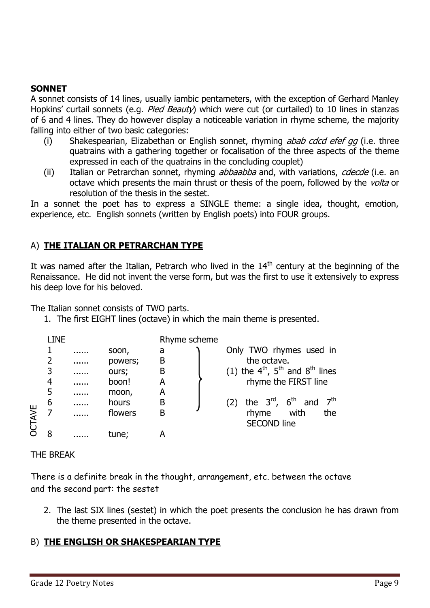# **SONNET**

A sonnet consists of 14 lines, usually iambic pentameters, with the exception of Gerhard Manley Hopkins' curtail sonnets (e.g. *Pied Beauty*) which were cut (or curtailed) to 10 lines in stanzas of 6 and 4 lines. They do however display a noticeable variation in rhyme scheme, the majority falling into either of two basic categories:

- (i) Shakespearian, Elizabethan or English sonnet, rhyming *abab cdcd efef gg* (i.e. three quatrains with a gathering together or focalisation of the three aspects of the theme expressed in each of the quatrains in the concluding couplet)
- (ii) Italian or Petrarchan sonnet, rhyming *abbaabba* and, with variations, *cdecde* (i.e. an octave which presents the main thrust or thesis of the poem, followed by the volta or resolution of the thesis in the sestet.

In a sonnet the poet has to express a SINGLE theme: a single idea, thought, emotion, experience, etc. English sonnets (written by English poets) into FOUR groups.

# A) **THE ITALIAN OR PETRARCHAN TYPE**

It was named after the Italian, Petrarch who lived in the  $14<sup>th</sup>$  century at the beginning of the Renaissance. He did not invent the verse form, but was the first to use it extensively to express his deep love for his beloved.

The Italian sonnet consists of TWO parts.

1. The first EIGHT lines (octave) in which the main theme is presented.

|       | LINE                          |                   |                                    | Rhyme scheme     |                                                                                                                                        |
|-------|-------------------------------|-------------------|------------------------------------|------------------|----------------------------------------------------------------------------------------------------------------------------------------|
|       | 2<br>3                        | <br>              | soon,<br>powers;<br>ours;          | a<br>B<br>B      | Only TWO rhymes used in<br>the octave.<br>(1) the $4^{th}$ , $5^{th}$ and $8^{th}$ lines                                               |
| CTAVE | 4<br>5<br>6<br>$\overline{7}$ | <br><br><br><br>. | boon!<br>moon,<br>hours<br>flowers | A<br>A<br>B<br>B | rhyme the FIRST line<br>the $3^{\text{rd}}$ , $6^{\text{th}}$ and<br>7 <sup>th</sup><br>(2)<br>rhyme with<br>the<br><b>SECOND line</b> |
|       | 8                             |                   | tune;                              | А                |                                                                                                                                        |
|       | THE BREAK                     |                   |                                    |                  |                                                                                                                                        |

There is a definite break in the thought, arrangement, etc. between the octave and the second part: the sestet

2. The last SIX lines (sestet) in which the poet presents the conclusion he has drawn from the theme presented in the octave.

# B) **THE ENGLISH OR SHAKESPEARIAN TYPE**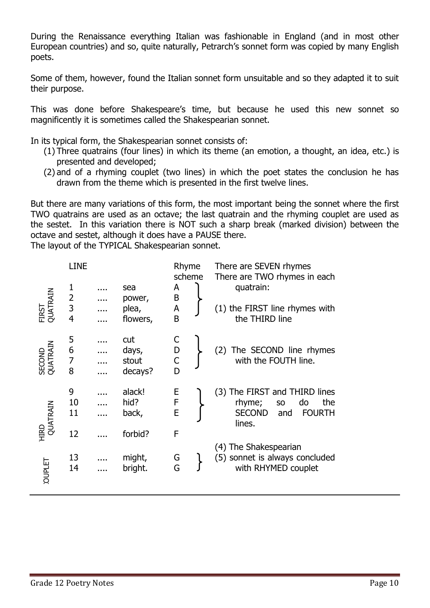During the Renaissance everything Italian was fashionable in England (and in most other European countries) and so, quite naturally, Petrarch's sonnet form was copied by many English poets.

Some of them, however, found the Italian sonnet form unsuitable and so they adapted it to suit their purpose.

This was done before Shakespeare's time, but because he used this new sonnet so magnificently it is sometimes called the Shakespearian sonnet.

In its typical form, the Shakespearian sonnet consists of:

- (1) Three quatrains (four lines) in which its theme (an emotion, a thought, an idea, etc.) is presented and developed;
- (2) and of a rhyming couplet (two lines) in which the poet states the conclusion he has drawn from the theme which is presented in the first twelve lines.

But there are many variations of this form, the most important being the sonnet where the first TWO quatrains are used as an octave; the last quatrain and the rhyming couplet are used as the sestet. In this variation there is NOT such a sharp break (marked division) between the octave and sestet, although it does have a PAUSE there.

The layout of the TYPICAL Shakespearian sonnet.

| FIRST<br>QUATRAIN  | <b>LINE</b><br>$\begin{array}{c} 1 \\ 2 \\ 3 \\ 4 \end{array}$ | <br>. | sea<br>power,<br>plea,<br>flowers, | Rhyme<br>scheme<br>A<br>B<br>A<br>B | There are SEVEN rhymes<br>There are TWO rhymes in each<br>quatrain:<br>(1) the FIRST line rhymes with<br>the THIRD line |
|--------------------|----------------------------------------------------------------|-------|------------------------------------|-------------------------------------|-------------------------------------------------------------------------------------------------------------------------|
| SECOND<br>QUATRAIN | 5<br>6<br>7<br>8                                               |       | cut<br>days,<br>stout<br>decays?   | C<br>D<br>$\overline{C}$<br>D       | The SECOND line rhymes<br>(2)<br>with the FOUTH line.                                                                   |
| HIRD<br>QUATRAIN   | 9<br>10<br>11<br>12                                            |       | alack!<br>hid?<br>back,<br>forbid? | E<br>F<br>E<br>F                    | (3) The FIRST and THIRD lines<br>rhyme;<br>do<br>the<br>SO<br><b>SECOND</b><br><b>FOURTH</b><br>and<br>lines.           |
| <b>OUPLET</b>      | 13<br>14                                                       |       | might,<br>bright.                  | G<br>G                              | (4) The Shakespearian<br>(5) sonnet is always concluded<br>with RHYMED couplet                                          |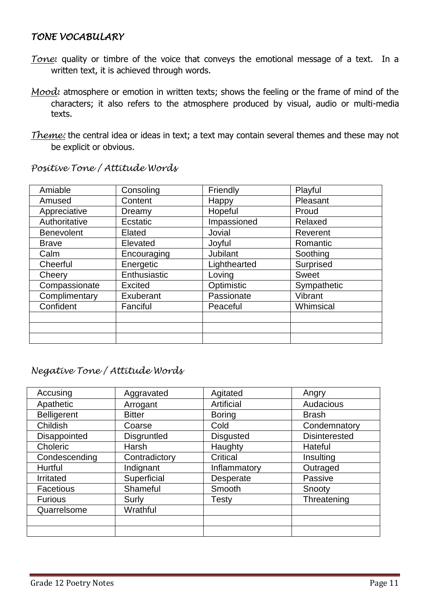# *TONE VOCABULARY*

- *Tone*: quality or timbre of the voice that conveys the emotional message of a text. In a written text, it is achieved through words.
- *Mood*: atmosphere or emotion in written texts; shows the feeling or the frame of mind of the characters; it also refers to the atmosphere produced by visual, audio or multi-media texts.
- *Theme:* the central idea or ideas in text; a text may contain several themes and these may not be explicit or obvious.

| Amiable           | Consoling      | Friendly     | Playful      |
|-------------------|----------------|--------------|--------------|
| Amused            | Content        | Happy        | Pleasant     |
| Appreciative      | Dreamy         | Hopeful      | Proud        |
| Authoritative     | Ecstatic       | Impassioned  | Relaxed      |
| <b>Benevolent</b> | Elated         | Jovial       | Reverent     |
| <b>Brave</b>      | Elevated       | Joyful       | Romantic     |
| Calm              | Encouraging    | Jubilant     | Soothing     |
| Cheerful          | Energetic      | Lighthearted | Surprised    |
| Cheery            | Enthusiastic   | Loving       | <b>Sweet</b> |
| Compassionate     | <b>Excited</b> | Optimistic   | Sympathetic  |
| Complimentary     | Exuberant      | Passionate   | Vibrant      |
| Confident         | Fanciful       | Peaceful     | Whimsical    |
|                   |                |              |              |
|                   |                |              |              |
|                   |                |              |              |

*Positive Tone / Attitude Words*

# *Negative Tone / Attitude Words*

| Accusing           | Aggravated         | Agitated         | Angry                |
|--------------------|--------------------|------------------|----------------------|
| Apathetic          | Arrogant           | Artificial       | Audacious            |
| <b>Belligerent</b> | <b>Bitter</b>      | <b>Boring</b>    | <b>Brash</b>         |
| Childish           | Coarse             | Cold             | Condemnatory         |
| Disappointed       | <b>Disgruntled</b> | <b>Disgusted</b> | <b>Disinterested</b> |
| Choleric           | Harsh              | Haughty          | Hateful              |
| Condescending      | Contradictory      | Critical         | Insulting            |
| Hurtful            | Indignant          | Inflammatory     | Outraged             |
| Irritated          | Superficial        | Desperate        | Passive              |
| Facetious          | Shameful           | Smooth           | Snooty               |
| <b>Furious</b>     | Surly              | <b>Testy</b>     | Threatening          |
| Quarrelsome        | Wrathful           |                  |                      |
|                    |                    |                  |                      |
|                    |                    |                  |                      |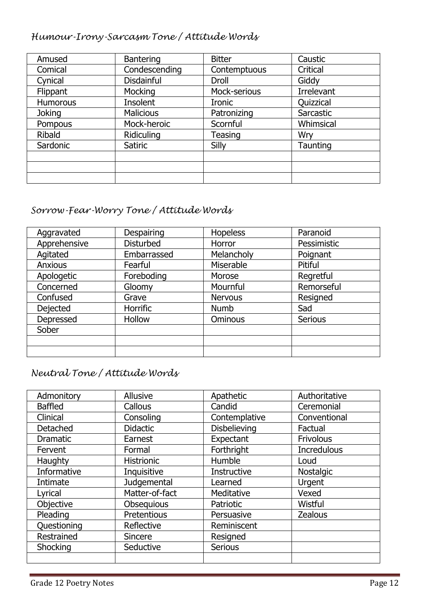# *Humour-Irony-Sarcasm Tone / Attitude Words*

| Amused          | <b>Bantering</b> | <b>Bitter</b>  | Caustic    |
|-----------------|------------------|----------------|------------|
| Comical         | Condescending    | Contemptuous   | Critical   |
| Cynical         | Disdainful       | Droll          | Giddy      |
| Flippant        | Mocking          | Mock-serious   | Irrelevant |
| <b>Humorous</b> | Insolent         | <b>Ironic</b>  | Quizzical  |
| <b>Joking</b>   | <b>Malicious</b> | Patronizing    | Sarcastic  |
| Pompous         | Mock-heroic      | Scornful       | Whimsical  |
| <b>Ribald</b>   | Ridiculing       | <b>Teasing</b> | Wry        |
| Sardonic        | <b>Satiric</b>   | Silly          | Taunting   |
|                 |                  |                |            |
|                 |                  |                |            |
|                 |                  |                |            |

# *Sorrow-Fear-Worry Tone / Attitude Words*

| Aggravated     | Despairing       | <b>Hopeless</b> | Paranoid       |
|----------------|------------------|-----------------|----------------|
| Apprehensive   | <b>Disturbed</b> | Horror          | Pessimistic    |
| Agitated       | Embarrassed      | Melancholy      | Poignant       |
| <b>Anxious</b> | Fearful          | Miserable       | Pitiful        |
| Apologetic     | Foreboding       | Morose          | Regretful      |
| Concerned      | Gloomy           | Mournful        | Remorseful     |
| Confused       | Grave            | <b>Nervous</b>  | Resigned       |
| Dejected       | <b>Horrific</b>  | <b>Numb</b>     | Sad            |
| Depressed      | Hollow           | <b>Ominous</b>  | <b>Serious</b> |
| Sober          |                  |                 |                |
|                |                  |                 |                |
|                |                  |                 |                |

# *Neutral Tone / Attitude Words*

| Admonitory      | <b>Allusive</b>   | Apathetic           | Authoritative      |
|-----------------|-------------------|---------------------|--------------------|
| <b>Baffled</b>  | Callous           | Candid              | Ceremonial         |
| Clinical        | Consoling         | Contemplative       | Conventional       |
| Detached        | <b>Didactic</b>   | <b>Disbelieving</b> | Factual            |
| <b>Dramatic</b> | Earnest           | Expectant           | Frivolous          |
| Fervent         | Formal            | Forthright          | <b>Incredulous</b> |
| Haughty         | <b>Histrionic</b> | Humble              | Loud               |
| Informative     | Inquisitive       | Instructive         | <b>Nostalgic</b>   |
| Intimate        | Judgemental       | Learned             | Urgent             |
| Lyrical         | Matter-of-fact    | Meditative          | Vexed              |
| Objective       | Obsequious        | Patriotic           | Wistful            |
| Pleading        | Pretentious       | Persuasive          | <b>Zealous</b>     |
| Questioning     | Reflective        | Reminiscent         |                    |
| Restrained      | <b>Sincere</b>    | Resigned            |                    |
| Shocking        | Seductive         | <b>Serious</b>      |                    |
|                 |                   |                     |                    |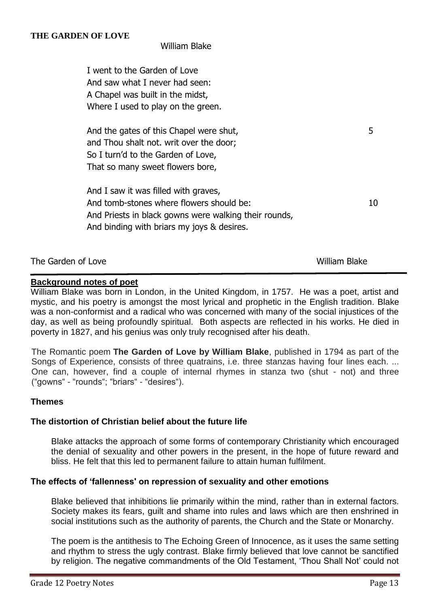# William Blake

I went to the Garden of Love And saw what I never had seen: A Chapel was built in the midst, Where I used to play on the green.

And the gates of this Chapel were shut, 5 and Thou shalt not. writ over the door; So I turn'd to the Garden of Love, That so many sweet flowers bore,

And I saw it was filled with graves, And tomb-stones where flowers should be: 10 And Priests in black gowns were walking their rounds, And binding with briars my joys & desires.

| The Garden of Love | William Blake |
|--------------------|---------------|
|--------------------|---------------|

# **Background notes of poet**

William Blake was born in London, in the United Kingdom, in 1757. He was a poet, artist and mystic, and his poetry is amongst the most lyrical and prophetic in the English tradition. Blake was a non-conformist and a radical who was concerned with many of the social injustices of the day, as well as being profoundly spiritual. Both aspects are reflected in his works. He died in poverty in 1827, and his genius was only truly recognised after his death.

The Romantic poem **The Garden of Love by William Blake**, published in 1794 as part of the Songs of Experience, consists of three quatrains, i.e. three stanzas having four lines each. ... One can, however, find a couple of internal rhymes in stanza two (shut - not) and three ("gowns" - "rounds"; "briars" - "desires").

# **Themes**

# **The distortion of Christian belief about the future life**

Blake attacks the approach of some forms of contemporary Christianity which encouraged the denial of sexuality and other powers in the present, in the hope of future reward and bliss. He felt that this led to permanent failure to attain human fulfilment.

# **The effects of 'fallenness' on repression of sexuality and other emotions**

Blake believed that inhibitions lie primarily within the mind, rather than in external factors. Society makes its fears, guilt and shame into rules and laws which are then enshrined in social institutions such as the authority of parents, the Church and the State or Monarchy.

The poem is the antithesis to The Echoing Green of Innocence, as it uses the same setting and rhythm to stress the ugly contrast. Blake firmly believed that love cannot be sanctified by religion. The negative commandments of the Old Testament, 'Thou Shall Not' could not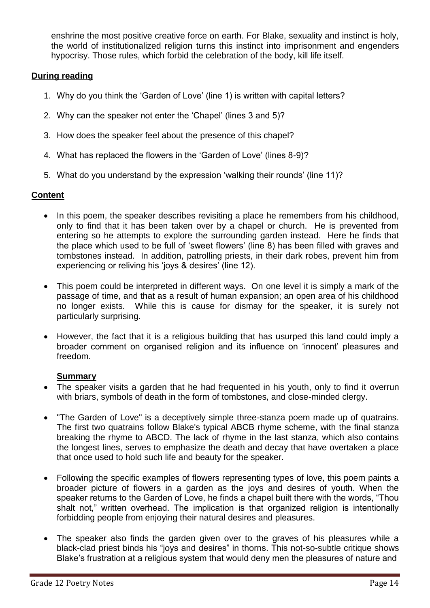enshrine the most positive creative force on earth. For Blake, sexuality and instinct is holy, the world of institutionalized religion turns this instinct into imprisonment and engenders hypocrisy. Those rules, which forbid the celebration of the body, kill life itself.

# **During reading**

- 1. Why do you think the 'Garden of Love' (line 1) is written with capital letters?
- 2. Why can the speaker not enter the 'Chapel' (lines 3 and 5)?
- 3. How does the speaker feel about the presence of this chapel?
- 4. What has replaced the flowers in the 'Garden of Love' (lines 8-9)?
- 5. What do you understand by the expression 'walking their rounds' (line 11)?

# **Content**

- In this poem, the speaker describes revisiting a place he remembers from his childhood, only to find that it has been taken over by a chapel or church. He is prevented from entering so he attempts to explore the surrounding garden instead. Here he finds that the place which used to be full of 'sweet flowers' (line 8) has been filled with graves and tombstones instead. In addition, patrolling priests, in their dark robes, prevent him from experiencing or reliving his 'joys & desires' (line 12).
- This poem could be interpreted in different ways. On one level it is simply a mark of the passage of time, and that as a result of human expansion; an open area of his childhood no longer exists. While this is cause for dismay for the speaker, it is surely not particularly surprising.
- However, the fact that it is a religious building that has usurped this land could imply a broader comment on organised religion and its influence on 'innocent' pleasures and freedom.

# **Summary**

- The speaker visits a garden that he had frequented in his youth, only to find it overrun with briars, symbols of death in the form of tombstones, and close-minded clergy.
- "The Garden of Love" is a deceptively simple three-stanza poem made up of quatrains. The first two quatrains follow Blake's typical ABCB rhyme scheme, with the final stanza breaking the rhyme to ABCD. The lack of rhyme in the last stanza, which also contains the longest lines, serves to emphasize the death and decay that have overtaken a place that once used to hold such life and beauty for the speaker.
- Following the specific examples of flowers representing types of love, this poem paints a broader picture of flowers in a garden as the joys and desires of youth. When the speaker returns to the Garden of Love, he finds a chapel built there with the words, "Thou shalt not," written overhead. The implication is that organized religion is intentionally forbidding people from enjoying their natural desires and pleasures.
- The speaker also finds the garden given over to the graves of his pleasures while a black-clad priest binds his "joys and desires" in thorns. This not-so-subtle critique shows Blake's frustration at a religious system that would deny men the pleasures of nature and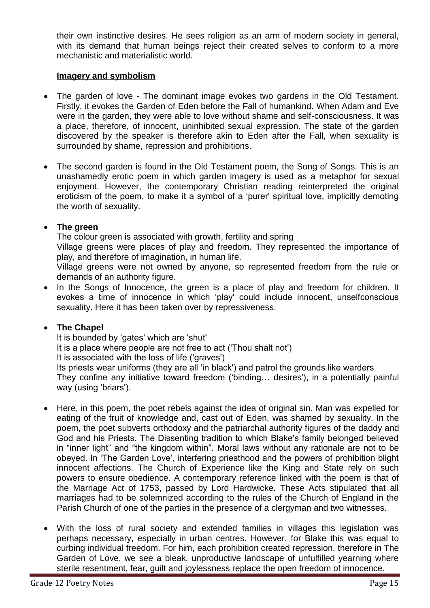their own instinctive desires. He sees religion as an arm of modern society in general, with its demand that human beings reject their created selves to conform to a more mechanistic and materialistic world.

# **Imagery and symbolism**

- The garden of love The dominant image evokes two gardens in the Old Testament. Firstly, it evokes the Garden of Eden before the Fall of humankind. When Adam and Eve were in the garden, they were able to love without shame and self-consciousness. It was a place, therefore, of innocent, uninhibited sexual expression. The state of the garden discovered by the speaker is therefore akin to Eden after the Fall, when sexuality is surrounded by shame, repression and prohibitions.
- The second garden is found in the Old Testament poem, the Song of Songs. This is an unashamedly erotic poem in which garden imagery is used as a metaphor for sexual enjoyment. However, the contemporary Christian reading reinterpreted the original eroticism of the poem, to make it a symbol of a 'purer' spiritual love, implicitly demoting the worth of sexuality.

# **The green**

The colour green is associated with growth, fertility and spring

Village greens were places of play and freedom. They represented the importance of play, and therefore of imagination, in human life.

Village greens were not owned by anyone, so represented freedom from the rule or demands of an authority figure.

• In the Songs of Innocence, the green is a place of play and freedom for children. It evokes a time of innocence in which 'play' could include innocent, unselfconscious sexuality. Here it has been taken over by repressiveness.

# **The Chapel**

It is bounded by 'gates' which are 'shut' It is a place where people are not free to act ('Thou shalt not') It is associated with the loss of life ('graves') Its priests wear uniforms (they are all 'in black') and patrol the grounds like warders They confine any initiative toward freedom ('binding… desires'), in a potentially painful way (using 'briars').

- Here, in this poem, the poet rebels against the idea of original sin. Man was expelled for eating of the fruit of knowledge and, cast out of Eden, was shamed by sexuality. In the poem, the poet subverts orthodoxy and the patriarchal authority figures of the daddy and God and his Priests. The Dissenting tradition to which Blake's family belonged believed in "inner light" and "the kingdom within". Moral laws without any rationale are not to be obeyed. In 'The Garden Love', interfering priesthood and the powers of prohibition blight innocent affections. The Church of Experience like the King and State rely on such powers to ensure obedience. A contemporary reference linked with the poem is that of the Marriage Act of 1753, passed by Lord Hardwicke. These Acts stipulated that all marriages had to be solemnized according to the rules of the Church of England in the Parish Church of one of the parties in the presence of a clergyman and two witnesses.
- With the loss of rural society and extended families in villages this legislation was perhaps necessary, especially in urban centres. However, for Blake this was equal to curbing individual freedom. For him, each prohibition created repression, therefore in The Garden of Love, we see a bleak, unproductive landscape of unfulfilled yearning where sterile resentment, fear, guilt and joylessness replace the open freedom of innocence.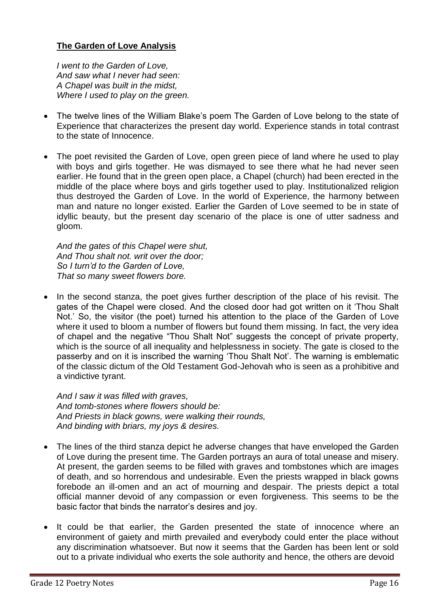# **The Garden of Love Analysis**

*I went to the Garden of Love, And saw what I never had seen: A Chapel was built in the midst, Where I used to play on the green.*

- The twelve lines of the William Blake's poem The Garden of Love belong to the state of Experience that characterizes the present day world. Experience stands in total contrast to the state of Innocence.
- The poet revisited the Garden of Love, open green piece of land where he used to play with boys and girls together. He was dismayed to see there what he had never seen earlier. He found that in the green open place, a Chapel (church) had been erected in the middle of the place where boys and girls together used to play. Institutionalized religion thus destroyed the Garden of Love. In the world of Experience, the harmony between man and nature no longer existed. Earlier the Garden of Love seemed to be in state of idyllic beauty, but the present day scenario of the place is one of utter sadness and gloom.

*And the gates of this Chapel were shut, And Thou shalt not. writ over the door; So I turn'd to the Garden of Love, That so many sweet flowers bore.*

• In the second stanza, the poet gives further description of the place of his revisit. The gates of the Chapel were closed. And the closed door had got written on it 'Thou Shalt Not.' So, the visitor (the poet) turned his attention to the place of the Garden of Love where it used to bloom a number of flowers but found them missing. In fact, the very idea of chapel and the negative "Thou Shalt Not" suggests the concept of private property, which is the source of all inequality and helplessness in society. The gate is closed to the passerby and on it is inscribed the warning 'Thou Shalt Not'. The warning is emblematic of the classic dictum of the Old Testament God-Jehovah who is seen as a prohibitive and a vindictive tyrant.

*And I saw it was filled with graves, And tomb-stones where flowers should be: And Priests in black gowns, were walking their rounds, And binding with briars, my joys & desires.*

- The lines of the third stanza depict he adverse changes that have enveloped the Garden of Love during the present time. The Garden portrays an aura of total unease and misery. At present, the garden seems to be filled with graves and tombstones which are images of death, and so horrendous and undesirable. Even the priests wrapped in black gowns forebode an ill-omen and an act of mourning and despair. The priests depict a total official manner devoid of any compassion or even forgiveness. This seems to be the basic factor that binds the narrator's desires and joy.
- It could be that earlier, the Garden presented the state of innocence where an environment of gaiety and mirth prevailed and everybody could enter the place without any discrimination whatsoever. But now it seems that the Garden has been lent or sold out to a private individual who exerts the sole authority and hence, the others are devoid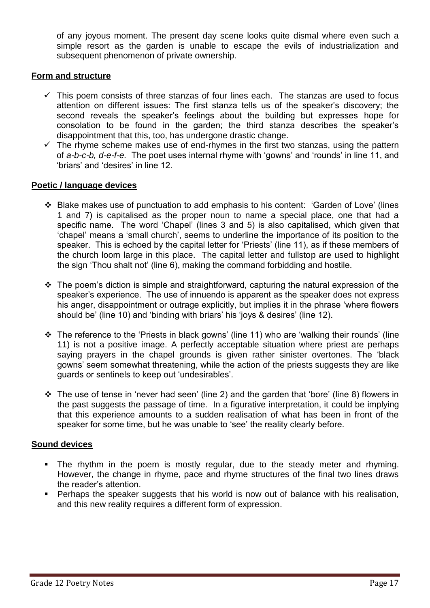of any joyous moment. The present day scene looks quite dismal where even such a simple resort as the garden is unable to escape the evils of industrialization and subsequent phenomenon of private ownership.

# **Form and structure**

- $\checkmark$  This poem consists of three stanzas of four lines each. The stanzas are used to focus attention on different issues: The first stanza tells us of the speaker's discovery; the second reveals the speaker's feelings about the building but expresses hope for consolation to be found in the garden; the third stanza describes the speaker's disappointment that this, too, has undergone drastic change.
- $\checkmark$  The rhyme scheme makes use of end-rhymes in the first two stanzas, using the pattern of *a-b-c-b, d-e-f-e.* The poet uses internal rhyme with 'gowns' and 'rounds' in line 11, and 'briars' and 'desires' in line 12.

# **Poetic / language devices**

- Blake makes use of punctuation to add emphasis to his content: 'Garden of Love' (lines 1 and 7) is capitalised as the proper noun to name a special place, one that had a specific name. The word 'Chapel' (lines 3 and 5) is also capitalised, which given that 'chapel' means a 'small church', seems to underline the importance of its position to the speaker. This is echoed by the capital letter for 'Priests' (line 11), as if these members of the church loom large in this place. The capital letter and fullstop are used to highlight the sign 'Thou shalt not' (line 6), making the command forbidding and hostile.
- $\cdot$  The poem's diction is simple and straightforward, capturing the natural expression of the speaker's experience. The use of innuendo is apparent as the speaker does not express his anger, disappointment or outrage explicitly, but implies it in the phrase 'where flowers should be' (line 10) and 'binding with briars' his 'joys & desires' (line 12).
- The reference to the 'Priests in black gowns' (line 11) who are 'walking their rounds' (line 11) is not a positive image. A perfectly acceptable situation where priest are perhaps saying prayers in the chapel grounds is given rather sinister overtones. The 'black gowns' seem somewhat threatening, while the action of the priests suggests they are like guards or sentinels to keep out 'undesirables'.
- The use of tense in 'never had seen' (line 2) and the garden that 'bore' (line 8) flowers in the past suggests the passage of time. In a figurative interpretation, it could be implying that this experience amounts to a sudden realisation of what has been in front of the speaker for some time, but he was unable to 'see' the reality clearly before.

# **Sound devices**

- The rhythm in the poem is mostly regular, due to the steady meter and rhyming. However, the change in rhyme, pace and rhyme structures of the final two lines draws the reader's attention.
- **Perhaps the speaker suggests that his world is now out of balance with his realisation,** and this new reality requires a different form of expression.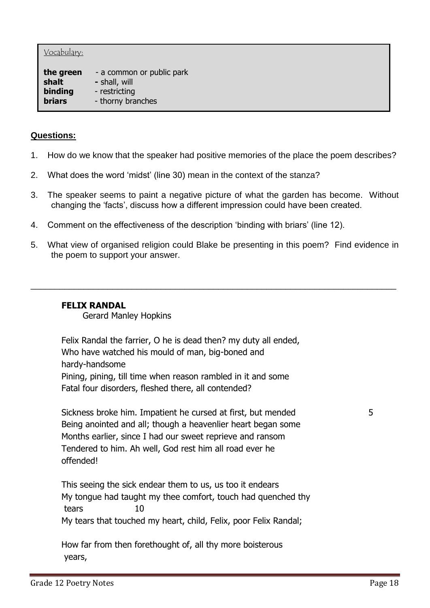#### Vocabulary:

**the green** - a common or public park **shalt -** shall, will **binding** - restricting **briars** - thorny branches

# **Questions:**

- 1. How do we know that the speaker had positive memories of the place the poem describes?
- 2. What does the word 'midst' (line 30) mean in the context of the stanza?
- 3. The speaker seems to paint a negative picture of what the garden has become. Without changing the 'facts', discuss how a different impression could have been created.
- 4. Comment on the effectiveness of the description 'binding with briars' (line 12).
- 5. What view of organised religion could Blake be presenting in this poem? Find evidence in the poem to support your answer.

\_\_\_\_\_\_\_\_\_\_\_\_\_\_\_\_\_\_\_\_\_\_\_\_\_\_\_\_\_\_\_\_\_\_\_\_\_\_\_\_\_\_\_\_\_\_\_\_\_\_\_\_\_\_\_\_\_\_\_\_\_\_\_\_\_\_\_\_\_\_\_\_\_\_\_\_

# **FELIX RANDAL**

Gerard Manley Hopkins

Felix Randal the farrier, O he is dead then? my duty all ended, Who have watched his mould of man, big-boned and hardy-handsome Pining, pining, till time when reason rambled in it and some Fatal four disorders, fleshed there, all contended?

Sickness broke him. Impatient he cursed at first, but mended 5 Being anointed and all; though a heavenlier heart began some Months earlier, since I had our sweet reprieve and ransom Tendered to him. Ah well, God rest him all road ever he offended!

This seeing the sick endear them to us, us too it endears My tongue had taught my thee comfort, touch had quenched thy tears 10 My tears that touched my heart, child, Felix, poor Felix Randal;

How far from then forethought of, all thy more boisterous years,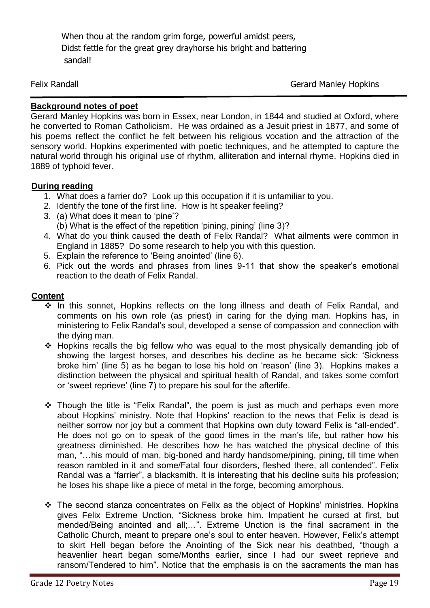When thou at the random grim forge, powerful amidst peers, Didst fettle for the great grey drayhorse his bright and battering sandal!

Felix Randall **Gerard Manley Hopkins** 

# **Background notes of poet**

Gerard Manley Hopkins was born in Essex, near London, in 1844 and studied at Oxford, where he converted to Roman Catholicism. He was ordained as a Jesuit priest in 1877, and some of his poems reflect the conflict he felt between his religious vocation and the attraction of the sensory world. Hopkins experimented with poetic techniques, and he attempted to capture the natural world through his original use of rhythm, alliteration and internal rhyme. Hopkins died in 1889 of typhoid fever.

# **During reading**

- 1. What does a farrier do? Look up this occupation if it is unfamiliar to you.
- 2. Identify the tone of the first line. How is ht speaker feeling?
- 3. (a) What does it mean to 'pine'? (b) What is the effect of the repetition 'pining, pining' (line 3)?
- 4. What do you think caused the death of Felix Randal? What ailments were common in England in 1885? Do some research to help you with this question.
- 5. Explain the reference to 'Being anointed' (line 6).
- 6. Pick out the words and phrases from lines 9-11 that show the speaker's emotional reaction to the death of Felix Randal.

# **Content**

- In this sonnet, Hopkins reflects on the long illness and death of Felix Randal, and comments on his own role (as priest) in caring for the dying man. Hopkins has, in ministering to Felix Randal's soul, developed a sense of compassion and connection with the dying man.
- \* Hopkins recalls the big fellow who was equal to the most physically demanding job of showing the largest horses, and describes his decline as he became sick: 'Sickness broke him' (line 5) as he began to lose his hold on 'reason' (line 3). Hopkins makes a distinction between the physical and spiritual health of Randal, and takes some comfort or 'sweet reprieve' (line 7) to prepare his soul for the afterlife.
- \* Though the title is "Felix Randal", the poem is just as much and perhaps even more about Hopkins' ministry. Note that Hopkins' reaction to the news that Felix is dead is neither sorrow nor joy but a comment that Hopkins own duty toward Felix is "all-ended". He does not go on to speak of the good times in the man's life, but rather how his greatness diminished. He describes how he has watched the physical decline of this man, "…his mould of man, big-boned and hardy handsome/pining, pining, till time when reason rambled in it and some/Fatal four disorders, fleshed there, all contended". Felix Randal was a "farrier", a blacksmith. It is interesting that his decline suits his profession; he loses his shape like a piece of metal in the forge, becoming amorphous.
- The second stanza concentrates on Felix as the object of Hopkins' ministries. Hopkins gives Felix Extreme Unction, "Sickness broke him. Impatient he cursed at first, but mended/Being anointed and all;…". Extreme Unction is the final sacrament in the Catholic Church, meant to prepare one's soul to enter heaven. However, Felix's attempt to skirt Hell began before the Anointing of the Sick near his deathbed, "though a heavenlier heart began some/Months earlier, since I had our sweet reprieve and ransom/Tendered to him". Notice that the emphasis is on the sacraments the man has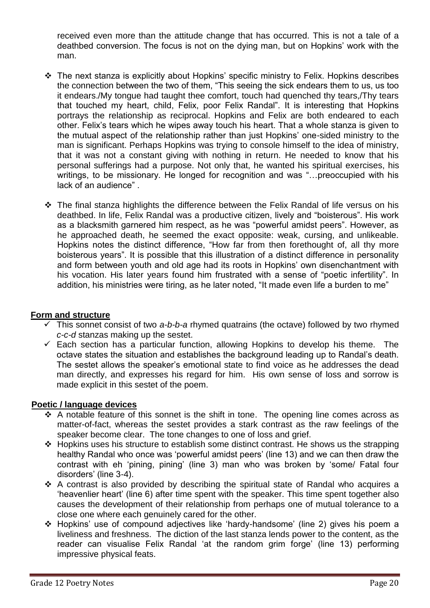received even more than the attitude change that has occurred. This is not a tale of a deathbed conversion. The focus is not on the dying man, but on Hopkins' work with the man.

- The next stanza is explicitly about Hopkins' specific ministry to Felix. Hopkins describes the connection between the two of them, "This seeing the sick endears them to us, us too it endears./My tongue had taught thee comfort, touch had quenched thy tears,/Thy tears that touched my heart, child, Felix, poor Felix Randal". It is interesting that Hopkins portrays the relationship as reciprocal. Hopkins and Felix are both endeared to each other. Felix's tears which he wipes away touch his heart. That a whole stanza is given to the mutual aspect of the relationship rather than just Hopkins' one-sided ministry to the man is significant. Perhaps Hopkins was trying to console himself to the idea of ministry, that it was not a constant giving with nothing in return. He needed to know that his personal sufferings had a purpose. Not only that, he wanted his spiritual exercises, his writings, to be missionary. He longed for recognition and was "…preoccupied with his lack of an audience" .
- $\cdot \cdot$  The final stanza highlights the difference between the Felix Randal of life versus on his deathbed. In life, Felix Randal was a productive citizen, lively and "boisterous". His work as a blacksmith garnered him respect, as he was "powerful amidst peers". However, as he approached death, he seemed the exact opposite: weak, cursing, and unlikeable. Hopkins notes the distinct difference, "How far from then forethought of, all thy more boisterous years". It is possible that this illustration of a distinct difference in personality and form between youth and old age had its roots in Hopkins' own disenchantment with his vocation. His later years found him frustrated with a sense of "poetic infertility". In addition, his ministries were tiring, as he later noted, "It made even life a burden to me"

# **Form and structure**

- This sonnet consist of two *a-b-b-a* rhymed quatrains (the octave) followed by two rhymed *c-c-d* stanzas making up the sestet.
- $\checkmark$  Each section has a particular function, allowing Hopkins to develop his theme. The octave states the situation and establishes the background leading up to Randal's death. The sestet allows the speaker's emotional state to find voice as he addresses the dead man directly, and expresses his regard for him. His own sense of loss and sorrow is made explicit in this sestet of the poem.

# **Poetic / language devices**

- $\div$  A notable feature of this sonnet is the shift in tone. The opening line comes across as matter-of-fact, whereas the sestet provides a stark contrast as the raw feelings of the speaker become clear. The tone changes to one of loss and grief.
- Hopkins uses his structure to establish some distinct contrast. He shows us the strapping healthy Randal who once was 'powerful amidst peers' (line 13) and we can then draw the contrast with eh 'pining, pining' (line 3) man who was broken by 'some/ Fatal four disorders' (line 3-4).
- $\cdot$  A contrast is also provided by describing the spiritual state of Randal who acquires a 'heavenlier heart' (line 6) after time spent with the speaker. This time spent together also causes the development of their relationship from perhaps one of mutual tolerance to a close one where each genuinely cared for the other.
- Hopkins' use of compound adjectives like 'hardy-handsome' (line 2) gives his poem a liveliness and freshness. The diction of the last stanza lends power to the content, as the reader can visualise Felix Randal 'at the random grim forge' (line 13) performing impressive physical feats.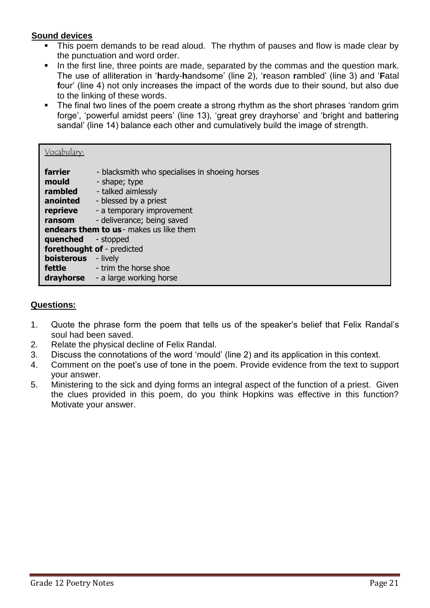# **Sound devices**

- This poem demands to be read aloud. The rhythm of pauses and flow is made clear by the punctuation and word order.
- In the first line, three points are made, separated by the commas and the question mark. The use of alliteration in '**h**ardy-**h**andsome' (line 2), '**r**eason **r**ambled' (line 3) and '**F**atal **f**our' (line 4) not only increases the impact of the words due to their sound, but also due to the linking of these words.
- The final two lines of the poem create a strong rhythm as the short phrases 'random grim forge', 'powerful amidst peers' (line 13), 'great grey drayhorse' and 'bright and battering sandal' (line 14) balance each other and cumulatively build the image of strength.

| <u>Vocabulary:</u>                                            |                                                                                                                                                                                                                      |
|---------------------------------------------------------------|----------------------------------------------------------------------------------------------------------------------------------------------------------------------------------------------------------------------|
| farrier<br>mould<br>rambled<br>anointed<br>reprieve<br>ransom | - blacksmith who specialises in shoeing horses<br>- shape; type<br>- talked aimlessly<br>- blessed by a priest<br>- a temporary improvement<br>- deliverance; being saved<br>endears them to us - makes us like them |
| quenched                                                      | - stopped                                                                                                                                                                                                            |
| boisterous<br><b>fettle</b><br>drayhorse                      | forethought of - predicted<br>- lively<br>- trim the horse shoe<br>- a large working horse                                                                                                                           |

# **Questions:**

- 1. Quote the phrase form the poem that tells us of the speaker's belief that Felix Randal's soul had been saved.
- 2. Relate the physical decline of Felix Randal.
- 3. Discuss the connotations of the word 'mould' (line 2) and its application in this context.
- 4. Comment on the poet's use of tone in the poem. Provide evidence from the text to support your answer.
- 5. Ministering to the sick and dying forms an integral aspect of the function of a priest. Given the clues provided in this poem, do you think Hopkins was effective in this function? Motivate your answer.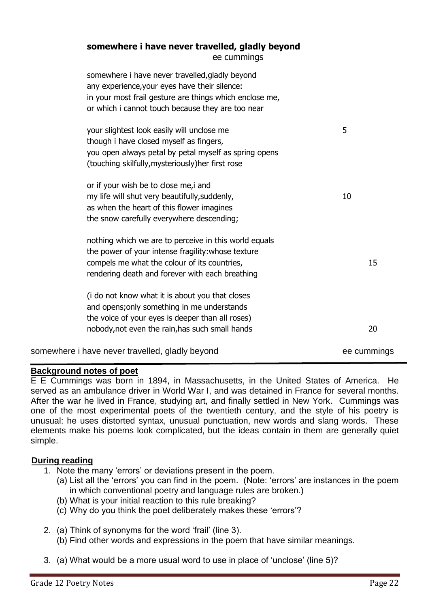#### **somewhere i have never travelled, gladly beyond** ee cummings

| somewhere i have never travelled, gladly beyond<br>any experience, your eyes have their silence:<br>in your most frail gesture are things which enclose me,<br>or which i cannot touch because they are too near |             |
|------------------------------------------------------------------------------------------------------------------------------------------------------------------------------------------------------------------|-------------|
| your slightest look easily will unclose me<br>though i have closed myself as fingers,<br>you open always petal by petal myself as spring opens<br>(touching skilfully, mysteriously) her first rose              | 5           |
| or if your wish be to close me, i and<br>my life will shut very beautifully, suddenly,<br>as when the heart of this flower imagines<br>the snow carefully everywhere descending;                                 | 10          |
| nothing which we are to perceive in this world equals<br>the power of your intense fragility: whose texture<br>compels me what the colour of its countries,<br>rendering death and forever with each breathing   | 15          |
| (i do not know what it is about you that closes<br>and opens; only something in me understands<br>the voice of your eyes is deeper than all roses)<br>nobody, not even the rain, has such small hands            | 20          |
| somewhere i have never travelled, gladly beyond                                                                                                                                                                  | ee cummings |

# **Background notes of poet**

E E Cummings was born in 1894, in Massachusetts, in the United States of America. He served as an ambulance driver in World War I, and was detained in France for several months. After the war he lived in France, studying art, and finally settled in New York. Cummings was one of the most experimental poets of the twentieth century, and the style of his poetry is unusual: he uses distorted syntax, unusual punctuation, new words and slang words. These elements make his poems look complicated, but the ideas contain in them are generally quiet simple.

# **During reading**

- 1. Note the many 'errors' or deviations present in the poem.
	- (a) List all the 'errors' you can find in the poem. (Note: 'errors' are instances in the poem in which conventional poetry and language rules are broken.)
	- (b) What is your initial reaction to this rule breaking?
	- (c) Why do you think the poet deliberately makes these 'errors'?
- 2. (a) Think of synonyms for the word 'frail' (line 3).
	- (b) Find other words and expressions in the poem that have similar meanings.
- 3. (a) What would be a more usual word to use in place of 'unclose' (line 5)?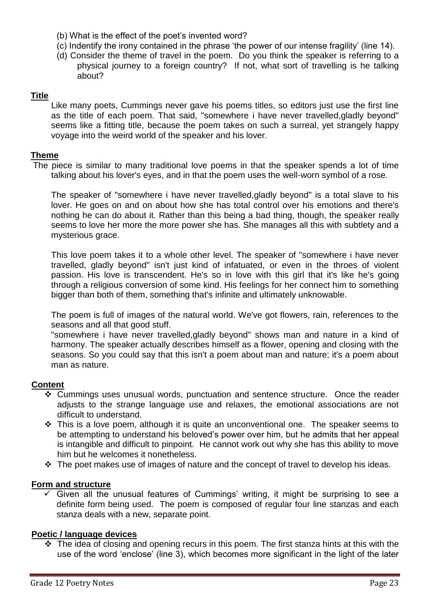- (b) What is the effect of the poet's invented word?
- (c) Indentify the irony contained in the phrase 'the power of our intense fragility' (line 14).
- (d) Consider the theme of travel in the poem. Do you think the speaker is referring to a physical journey to a foreign country? If not, what sort of travelling is he talking about?

# **Title**

Like many poets, Cummings never gave his poems titles, so editors just use the first line as the title of each poem. That said, "somewhere i have never travelled,gladly beyond" seems like a fitting title, because the poem takes on such a surreal, yet strangely happy voyage into the weird world of the speaker and his lover.

# **Theme**

The piece is similar to many traditional love poems in that the speaker spends a lot of time talking about his lover's eyes, and in that the poem uses the well-worn symbol of a rose.

The speaker of "somewhere i have never travelled,gladly beyond" is a total slave to his lover. He goes on and on about how she has total control over his emotions and there's nothing he can do about it. Rather than this being a bad thing, though, the speaker really seems to love her more the more power she has. She manages all this with subtlety and a mysterious grace.

This love poem takes it to a whole other level. The speaker of "somewhere i have never travelled, gladly beyond" isn't just kind of infatuated, or even in the throes of violent passion. His love is transcendent. He's so in love with this girl that it's like he's going through a religious conversion of some kind. His feelings for her connect him to something bigger than both of them, something that's infinite and ultimately unknowable.

The poem is full of images of the natural world. We've got flowers, rain, references to the seasons and all that good stuff.

"somewhere i have never travelled,gladly beyond" shows man and nature in a kind of harmony. The speaker actually describes himself as a flower, opening and closing with the seasons. So you could say that this isn't a poem about man and nature; it's a poem about man as nature.

# **Content**

- Cummings uses unusual words, punctuation and sentence structure. Once the reader adjusts to the strange language use and relaxes, the emotional associations are not difficult to understand.
- $\cdot \cdot$  This is a love poem, although it is quite an unconventional one. The speaker seems to be attempting to understand his beloved's power over him, but he admits that her appeal is intangible and difficult to pinpoint. He cannot work out why she has this ability to move him but he welcomes it nonetheless.
- $\cdot \cdot$  The poet makes use of images of nature and the concept of travel to develop his ideas.

# **Form and structure**

 Given all the unusual features of Cummings' writing, it might be surprising to see a definite form being used. The poem is composed of regular four line stanzas and each stanza deals with a new, separate point.

# **Poetic / language devices**

 $\cdot$  The idea of closing and opening recurs in this poem. The first stanza hints at this with the use of the word 'enclose' (line 3), which becomes more significant in the light of the later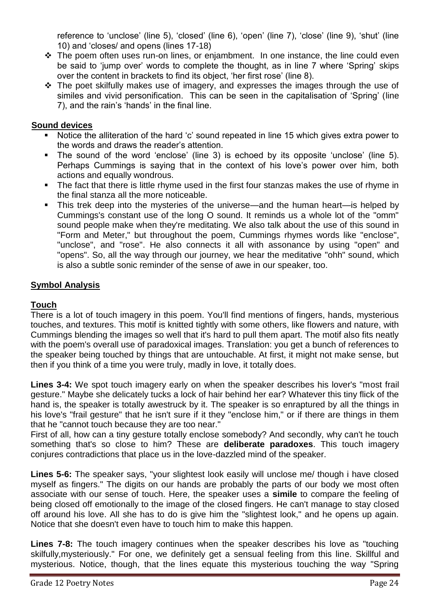reference to 'unclose' (line 5), 'closed' (line 6), 'open' (line 7), 'close' (line 9), 'shut' (line 10) and 'closes/ and opens (lines 17-18)

- \* The poem often uses run-on lines, or enjambment. In one instance, the line could even be said to 'jump over' words to complete the thought, as in line 7 where 'Spring' skips over the content in brackets to find its object, 'her first rose' (line 8).
- \* The poet skilfully makes use of imagery, and expresses the images through the use of similes and vivid personification. This can be seen in the capitalisation of 'Spring' (line 7), and the rain's 'hands' in the final line.

# **Sound devices**

- Notice the alliteration of the hard 'c' sound repeated in line 15 which gives extra power to the words and draws the reader's attention.
- The sound of the word 'enclose' (line 3) is echoed by its opposite 'unclose' (line 5). Perhaps Cummings is saying that in the context of his love's power over him, both actions and equally wondrous.
- The fact that there is little rhyme used in the first four stanzas makes the use of rhyme in the final stanza all the more noticeable.
- This trek deep into the mysteries of the universe—and the human heart—is helped by Cummings's constant use of the long O sound. It reminds us a whole lot of the "omm" sound people make when they're meditating. We also talk about the use of this sound in "Form and Meter," but throughout the poem, Cummings rhymes words like "enclose", "unclose", and "rose". He also connects it all with assonance by using "open" and "opens". So, all the way through our journey, we hear the meditative "ohh" sound, which is also a subtle sonic reminder of the sense of awe in our speaker, too.

# **Symbol Analysis**

# **Touch**

There is a lot of touch imagery in this poem. You'll find mentions of fingers, hands, mysterious touches, and textures. This motif is knitted tightly with some others, like flowers and nature, with Cummings blending the images so well that it's hard to pull them apart. The motif also fits neatly with the poem's overall use of paradoxical images. Translation: you get a bunch of references to the speaker being touched by things that are untouchable. At first, it might not make sense, but then if you think of a time you were truly, madly in love, it totally does.

**Lines 3-4:** We spot touch imagery early on when the speaker describes his lover's "most frail gesture." Maybe she delicately tucks a lock of hair behind her ear? Whatever this tiny flick of the hand is, the speaker is totally awestruck by it. The speaker is so enraptured by all the things in his love's "frail gesture" that he isn't sure if it they "enclose him," or if there are things in them that he "cannot touch because they are too near."

First of all, how can a tiny gesture totally enclose somebody? And secondly, why can't he touch something that's so close to him? These are **deliberate paradoxes**. This touch imagery conjures contradictions that place us in the love-dazzled mind of the speaker.

**Lines 5-6:** The speaker says, "your slightest look easily will unclose me/ though i have closed myself as fingers." The digits on our hands are probably the parts of our body we most often associate with our sense of touch. Here, the speaker uses a **simile** to compare the feeling of being closed off emotionally to the image of the closed fingers. He can't manage to stay closed off around his love. All she has to do is give him the "slightest look," and he opens up again. Notice that she doesn't even have to touch him to make this happen.

**Lines 7-8:** The touch imagery continues when the speaker describes his love as "touching skilfully,mysteriously." For one, we definitely get a sensual feeling from this line. Skillful and mysterious. Notice, though, that the lines equate this mysterious touching the way "Spring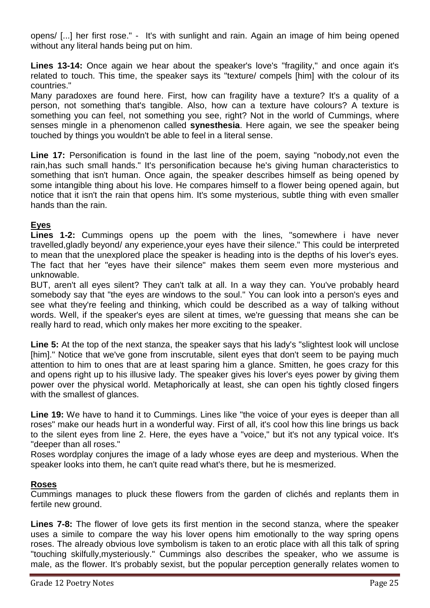opens/ [...] her first rose." - It's with sunlight and rain. Again an image of him being opened without any literal hands being put on him.

**Lines 13-14:** Once again we hear about the speaker's love's "fragility," and once again it's related to touch. This time, the speaker says its "texture/ compels [him] with the colour of its countries."

Many paradoxes are found here. First, how can fragility have a texture? It's a quality of a person, not something that's tangible. Also, how can a texture have colours? A texture is something you can feel, not something you see, right? Not in the world of Cummings, where senses mingle in a phenomenon called **synesthesia**. Here again, we see the speaker being touched by things you wouldn't be able to feel in a literal sense.

**Line 17:** Personification is found in the last line of the poem, saying "nobody,not even the rain,has such small hands." It's personification because he's giving human characteristics to something that isn't human. Once again, the speaker describes himself as being opened by some intangible thing about his love. He compares himself to a flower being opened again, but notice that it isn't the rain that opens him. It's some mysterious, subtle thing with even smaller hands than the rain.

# **Eyes**

**Lines 1-2:** Cummings opens up the poem with the lines, "somewhere i have never travelled,gladly beyond/ any experience,your eyes have their silence." This could be interpreted to mean that the unexplored place the speaker is heading into is the depths of his lover's eyes. The fact that her "eyes have their silence" makes them seem even more mysterious and unknowable.

BUT, aren't all eyes silent? They can't talk at all. In a way they can. You've probably heard somebody say that "the eyes are windows to the soul." You can look into a person's eyes and see what they're feeling and thinking, which could be described as a way of talking without words. Well, if the speaker's eyes are silent at times, we're guessing that means she can be really hard to read, which only makes her more exciting to the speaker.

**Line 5:** At the top of the next stanza, the speaker says that his lady's "slightest look will unclose [him]." Notice that we've gone from inscrutable, silent eyes that don't seem to be paying much attention to him to ones that are at least sparing him a glance. Smitten, he goes crazy for this and opens right up to his illusive lady. The speaker gives his lover's eyes power by giving them power over the physical world. Metaphorically at least, she can open his tightly closed fingers with the smallest of glances.

**Line 19:** We have to hand it to Cummings. Lines like "the voice of your eyes is deeper than all roses" make our heads hurt in a wonderful way. First of all, it's cool how this line brings us back to the silent eyes from line 2. Here, the eyes have a "voice," but it's not any typical voice. It's "deeper than all roses."

Roses wordplay conjures the image of a lady whose eyes are deep and mysterious. When the speaker looks into them, he can't quite read what's there, but he is mesmerized.

# **Roses**

Cummings manages to pluck these flowers from the garden of clichés and replants them in fertile new ground.

**Lines 7-8:** The flower of love gets its first mention in the second stanza, where the speaker uses a simile to compare the way his lover opens him emotionally to the way spring opens roses. The already obvious love symbolism is taken to an erotic place with all this talk of spring "touching skilfully,mysteriously." Cummings also describes the speaker, who we assume is male, as the flower. It's probably sexist, but the popular perception generally relates women to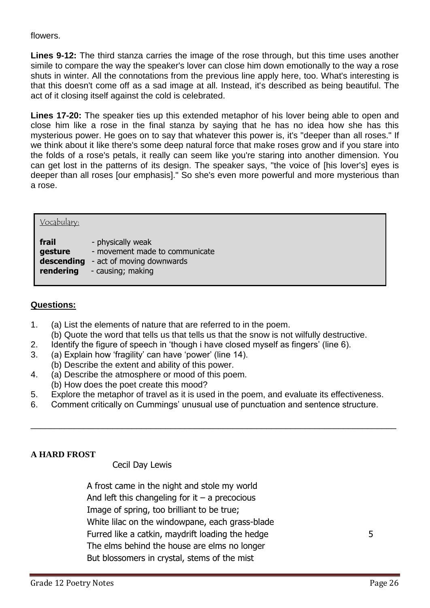# flowers.

**Lines 9-12:** The third stanza carries the image of the rose through, but this time uses another simile to compare the way the speaker's lover can close him down emotionally to the way a rose shuts in winter. All the connotations from the previous line apply here, too. What's interesting is that this doesn't come off as a sad image at all. Instead, it's described as being beautiful. The act of it closing itself against the cold is celebrated.

**Lines 17-20:** The speaker ties up this extended metaphor of his lover being able to open and close him like a rose in the final stanza by saying that he has no idea how she has this mysterious power. He goes on to say that whatever this power is, it's "deeper than all roses." If we think about it like there's some deep natural force that make roses grow and if you stare into the folds of a rose's petals, it really can seem like you're staring into another dimension. You can get lost in the patterns of its design. The speaker says, "the voice of [his lover's] eyes is deeper than all roses [our emphasis]." So she's even more powerful and more mysterious than a rose.

| Vocabulary: |                                |
|-------------|--------------------------------|
| frail       | - physically weak              |
| gesture     | - movement made to communicate |
| descending  | - act of moving downwards      |
| rendering   | - causing; making              |

# **Questions:**

- 1. (a) List the elements of nature that are referred to in the poem.
- (b) Quote the word that tells us that tells us that the snow is not wilfully destructive.
- 2. Identify the figure of speech in 'though i have closed myself as fingers' (line 6).
- 3. (a) Explain how 'fragility' can have 'power' (line 14).
- (b) Describe the extent and ability of this power.
- 4. (a) Describe the atmosphere or mood of this poem.
	- (b) How does the poet create this mood?
- 5. Explore the metaphor of travel as it is used in the poem, and evaluate its effectiveness.
- 6. Comment critically on Cummings' unusual use of punctuation and sentence structure.

\_\_\_\_\_\_\_\_\_\_\_\_\_\_\_\_\_\_\_\_\_\_\_\_\_\_\_\_\_\_\_\_\_\_\_\_\_\_\_\_\_\_\_\_\_\_\_\_\_\_\_\_\_\_\_\_\_\_\_\_\_\_\_\_\_\_\_\_\_\_\_\_\_\_\_\_

# **A HARD FROST**

# Cecil Day Lewis

A frost came in the night and stole my world And left this changeling for it  $-$  a precocious Image of spring, too brilliant to be true; White lilac on the windowpane, each grass-blade Furred like a catkin, maydrift loading the hedge 5 The elms behind the house are elms no longer But blossomers in crystal, stems of the mist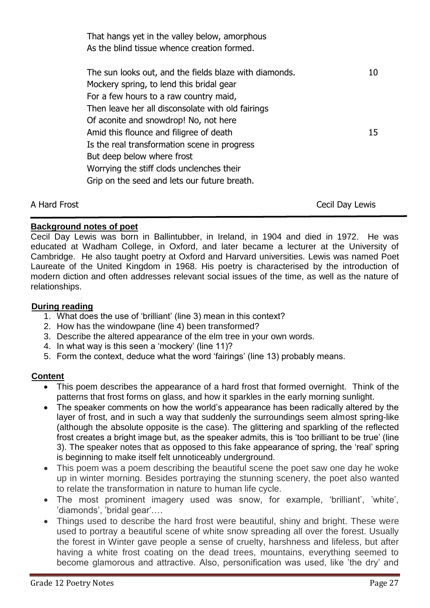| That hangs yet in the valley below, amorphous<br>As the blind tissue whence creation formed. |    |
|----------------------------------------------------------------------------------------------|----|
| The sun looks out, and the fields blaze with diamonds.                                       | 10 |
| Mockery spring, to lend this bridal gear<br>For a few hours to a raw country maid,           |    |
| Then leave her all disconsolate with old fairings<br>Of aconite and snowdrop! No, not here   |    |
| Amid this flounce and filigree of death                                                      | 15 |
| Is the real transformation scene in progress<br>But deep below where frost                   |    |
| Worrying the stiff clods unclenches their<br>Grip on the seed and lets our future breath.    |    |
|                                                                                              |    |

A Hard Frost **Cecil Day Lewis** 

# **Background notes of poet**

Cecil Day Lewis was born in Ballintubber, in Ireland, in 1904 and died in 1972. He was educated at Wadham College, in Oxford, and later became a lecturer at the University of Cambridge. He also taught poetry at Oxford and Harvard universities. Lewis was named Poet Laureate of the United Kingdom in 1968. His poetry is characterised by the introduction of modern diction and often addresses relevant social issues of the time, as well as the nature of relationships.

# **During reading**

- 1. What does the use of 'brilliant' (line 3) mean in this context?
- 2. How has the windowpane (line 4) been transformed?
- 3. Describe the altered appearance of the elm tree in your own words.
- 4. In what way is this seen a 'mockery' (line 11)?
- 5. Form the context, deduce what the word 'fairings' (line 13) probably means.

# **Content**

- This poem describes the appearance of a hard frost that formed overnight. Think of the patterns that frost forms on glass, and how it sparkles in the early morning sunlight.
- The speaker comments on how the world's appearance has been radically altered by the layer of frost, and in such a way that suddenly the surroundings seem almost spring-like (although the absolute opposite is the case). The glittering and sparkling of the reflected frost creates a bright image but, as the speaker admits, this is 'too brilliant to be true' (line 3). The speaker notes that as opposed to this fake appearance of spring, the 'real' spring is beginning to make itself felt unnoticeably underground.
- This poem was a poem describing the beautiful scene the poet saw one day he woke up in winter morning. Besides portraying the stunning scenery, the poet also wanted to relate the transformation in nature to human life cycle.
- The most prominent imagery used was snow, for example, 'brilliant', 'white', 'diamonds', 'bridal gear'.…
- Things used to describe the hard frost were beautiful, shiny and bright. These were used to portray a beautiful scene of white snow spreading all over the forest. Usually the forest in Winter gave people a sense of cruelty, harshness and lifeless, but after having a white frost coating on the dead trees, mountains, everything seemed to become glamorous and attractive. Also, personification was used, like 'the dry' and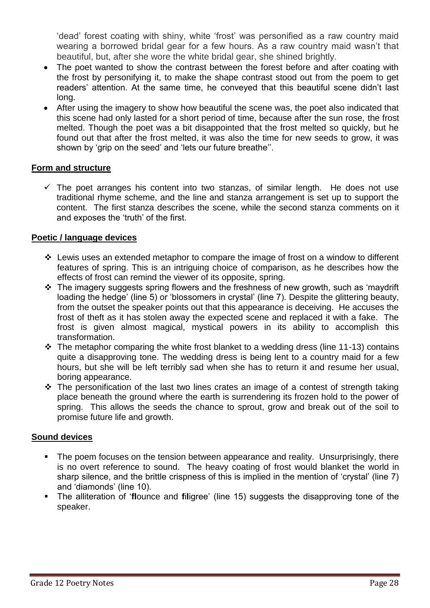'dead' forest coating with shiny, white 'frost' was personified as a raw country maid wearing a borrowed bridal gear for a few hours. As a raw country maid wasn't that beautiful, but, after she wore the white bridal gear, she shined brightly.

- The poet wanted to show the contrast between the forest before and after coating with the frost by personifying it, to make the shape contrast stood out from the poem to get readers' attention. At the same time, he conveyed that this beautiful scene didn't last long.
- After using the imagery to show how beautiful the scene was, the poet also indicated that this scene had only lasted for a short period of time, because after the sun rose, the frost melted. Though the poet was a bit disappointed that the frost melted so quickly, but he found out that after the frost melted, it was also the time for new seeds to grow, it was shown by 'grip on the seed' and 'lets our future breathe''.

# **Form and structure**

 $\checkmark$  The poet arranges his content into two stanzas, of similar length. He does not use traditional rhyme scheme, and the line and stanza arrangement is set up to support the content. The first stanza describes the scene, while the second stanza comments on it and exposes the 'truth' of the first.

# **Poetic / language devices**

- $\div$  Lewis uses an extended metaphor to compare the image of frost on a window to different features of spring. This is an intriguing choice of comparison, as he describes how the effects of frost can remind the viewer of its opposite, spring.
- $\cdot \cdot$  The imagery suggests spring flowers and the freshness of new growth, such as 'maydrift loading the hedge' (line 5) or 'blossomers in crystal' (line 7). Despite the glittering beauty, from the outset the speaker points out that this appearance is deceiving. He accuses the frost of theft as it has stolen away the expected scene and replaced it with a fake. The frost is given almost magical, mystical powers in its ability to accomplish this transformation.
- $\cdot$  The metaphor comparing the white frost blanket to a wedding dress (line 11-13) contains quite a disapproving tone. The wedding dress is being lent to a country maid for a few hours, but she will be left terribly sad when she has to return it and resume her usual, boring appearance.
- $\cdot \cdot$  The personification of the last two lines crates an image of a contest of strength taking place beneath the ground where the earth is surrendering its frozen hold to the power of spring. This allows the seeds the chance to sprout, grow and break out of the soil to promise future life and growth.

# **Sound devices**

- The poem focuses on the tension between appearance and reality. Unsurprisingly, there is no overt reference to sound. The heavy coating of frost would blanket the world in sharp silence, and the brittle crispness of this is implied in the mention of 'crystal' (line 7) and 'diamonds' (line 10).
- The alliteration of '**fl**ounce and **f**i**l**igree' (line 15) suggests the disapproving tone of the speaker.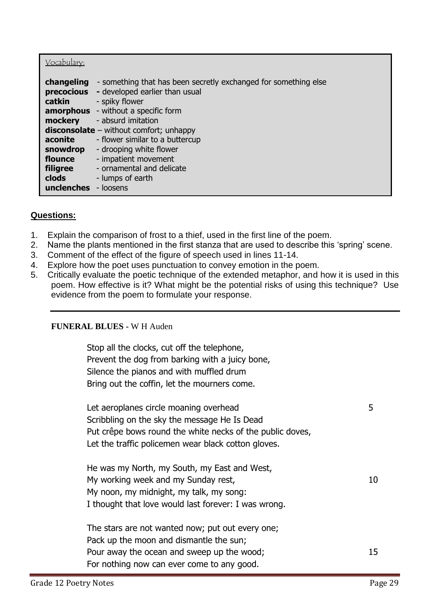| Vocabulary:                                                                                                        |                                                                                                                                                                                                                                                                                                                                                                                          |
|--------------------------------------------------------------------------------------------------------------------|------------------------------------------------------------------------------------------------------------------------------------------------------------------------------------------------------------------------------------------------------------------------------------------------------------------------------------------------------------------------------------------|
| changeling<br>precocious<br>catkin<br>mockery<br>aconite<br>snowdrop<br>flounce<br>filigree<br>clods<br>unclenches | - something that has been secretly exchanged for something else<br>- developed earlier than usual<br>- spiky flower<br><b>amorphous</b> - without a specific form<br>- absurd imitation<br>$disconsolate - without comfort; unhappy$<br>- flower similar to a buttercup<br>- drooping white flower<br>- impatient movement<br>- ornamental and delicate<br>- lumps of earth<br>- loosens |

# **Questions:**

- 1. Explain the comparison of frost to a thief, used in the first line of the poem.
- 2. Name the plants mentioned in the first stanza that are used to describe this 'spring' scene.
- 3. Comment of the effect of the figure of speech used in lines 11-14.
- 4. Explore how the poet uses punctuation to convey emotion in the poem.
- 5. Critically evaluate the poetic technique of the extended metaphor, and how it is used in this poem. How effective is it? What might be the potential risks of using this technique? Use evidence from the poem to formulate your response.

# **FUNERAL BLUES -** W H Auden

Stop all the clocks, cut off the telephone, Prevent the dog from barking with a juicy bone, Silence the pianos and with muffled drum Bring out the coffin, let the mourners come.

| Let aeroplanes circle moaning overhead<br>Scribbling on the sky the message He Is Dead |     |
|----------------------------------------------------------------------------------------|-----|
| Put crêpe bows round the white necks of the public doves,                              |     |
| Let the traffic policemen wear black cotton gloves.                                    |     |
| He was my North, my South, my East and West,                                           |     |
| My working week and my Sunday rest,                                                    | 10  |
| My noon, my midnight, my talk, my song:                                                |     |
| I thought that love would last forever: I was wrong.                                   |     |
| The stars are not wanted now; put out every one;                                       |     |
| Pack up the moon and dismantle the sun;                                                |     |
| Pour away the ocean and sweep up the wood;                                             | 15. |
| For nothing now can ever come to any good.                                             |     |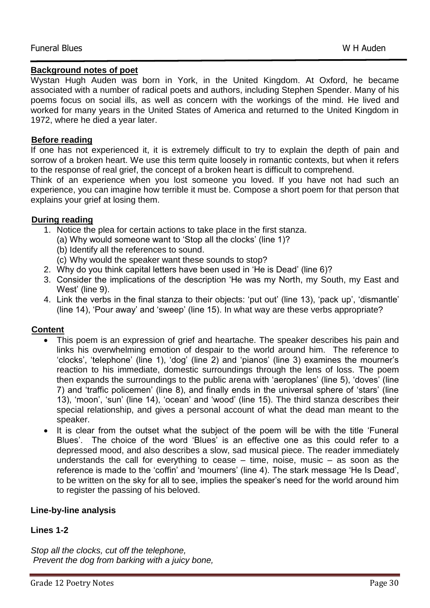### **Background notes of poet**

Wystan Hugh Auden was born in York, in the United Kingdom. At Oxford, he became associated with a number of radical poets and authors, including Stephen Spender. Many of his poems focus on social ills, as well as concern with the workings of the mind. He lived and worked for many years in the United States of America and returned to the United Kingdom in 1972, where he died a year later.

# **Before reading**

If one has not experienced it, it is extremely difficult to try to explain the depth of pain and sorrow of a broken heart. We use this term quite loosely in romantic contexts, but when it refers to the response of real grief, the concept of a broken heart is difficult to comprehend.

Think of an experience when you lost someone you loved. If you have not had such an experience, you can imagine how terrible it must be. Compose a short poem for that person that explains your grief at losing them.

# **During reading**

- 1. Notice the plea for certain actions to take place in the first stanza.
	- (a) Why would someone want to 'Stop all the clocks' (line 1)?
	- (b) Identify all the references to sound.
	- (c) Why would the speaker want these sounds to stop?
- 2. Why do you think capital letters have been used in 'He is Dead' (line 6)?
- 3. Consider the implications of the description 'He was my North, my South, my East and West' (line 9).
- 4. Link the verbs in the final stanza to their objects: 'put out' (line 13), 'pack up', 'dismantle' (line 14), 'Pour away' and 'sweep' (line 15). In what way are these verbs appropriate?

# **Content**

- This poem is an expression of grief and heartache. The speaker describes his pain and links his overwhelming emotion of despair to the world around him. The reference to 'clocks', 'telephone' (line 1), 'dog' (line 2) and 'pianos' (line 3) examines the mourner's reaction to his immediate, domestic surroundings through the lens of loss. The poem then expands the surroundings to the public arena with 'aeroplanes' (line 5), 'doves' (line 7) and 'traffic policemen' (line 8), and finally ends in the universal sphere of 'stars' (line 13), 'moon', 'sun' (line 14), 'ocean' and 'wood' (line 15). The third stanza describes their special relationship, and gives a personal account of what the dead man meant to the speaker.
- It is clear from the outset what the subject of the poem will be with the title 'Funeral Blues'. The choice of the word 'Blues' is an effective one as this could refer to a depressed mood, and also describes a slow, sad musical piece. The reader immediately understands the call for everything to cease – time, noise, music – as soon as the reference is made to the 'coffin' and 'mourners' (line 4). The stark message 'He Is Dead', to be written on the sky for all to see, implies the speaker's need for the world around him to register the passing of his beloved.

# **Line-by-line analysis**

# **Lines 1-2**

*Stop all the clocks, cut off the telephone, Prevent the dog from barking with a juicy bone,*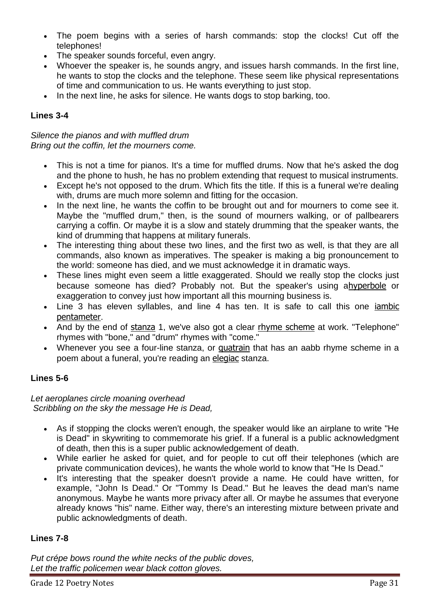- The poem begins with a series of harsh commands: stop the clocks! Cut off the telephones!
- The speaker sounds forceful, even angry.
- Whoever the speaker is, he sounds angry, and issues harsh commands. In the first line, he wants to stop the clocks and the telephone. These seem like physical representations of time and communication to us. He wants everything to just stop.
- In the next line, he asks for silence. He wants dogs to stop barking, too.

# **Lines 3-4**

*Silence the pianos and with muffled drum Bring out the coffin, let the mourners come.*

- This is not a time for pianos. It's a time for muffled drums. Now that he's asked the dog and the phone to hush, he has no problem extending that request to musical instruments.
- Except he's not opposed to the drum. Which fits the title. If this is a funeral we're dealing with, drums are much more solemn and fitting for the occasion.
- In the next line, he wants the coffin to be brought out and for mourners to come see it. Maybe the "muffled drum," then, is the sound of mourners walking, or of pallbearers carrying a coffin. Or maybe it is a slow and stately drumming that the speaker wants, the kind of drumming that happens at military funerals.
- The interesting thing about these two lines, and the first two as well, is that they are all commands, also known as imperatives. The speaker is making a big pronouncement to the world: someone has died, and we must acknowledge it in dramatic ways.
- These lines might even seem a little exaggerated. Should we really stop the clocks just because someone has died? Probably not. But the speaker's using a[hyperbole](http://www.shmoop.com/literature-glossary/hyperbole.html) or exaggeration to convey just how important all this mourning business is.
- Line 3 has eleven syllables, and line 4 has ten. It is safe to call this one [iambic](http://www.shmoop.com/literature-glossary/iambic-pentameter.html)  [pentameter](http://www.shmoop.com/literature-glossary/iambic-pentameter.html).
- And by the end of [stanza](http://www.shmoop.com/literature-glossary/stanza.html) 1, we've also got a clear [rhyme scheme](http://www.shmoop.com/literature-glossary/rhyme-scheme.html) at work. "Telephone" rhymes with "bone," and "drum" rhymes with "come."
- Whenever you see a four-line stanza, or **[quatrain](http://www.shmoop.com/literature-glossary/quatrain.html)** that has an aabb rhyme scheme in a poem about a funeral, you're reading an [elegiac](http://www.shmoop.com/literature-glossary/elegy.html) stanza.

# **Lines 5-6**

*Let aeroplanes circle moaning overhead Scribbling on the sky the message He is Dead,*

- As if stopping the clocks weren't enough, the speaker would like an airplane to write "He is Dead" in skywriting to commemorate his grief. If a funeral is a public acknowledgment of death, then this is a super public acknowledgement of death.
- While earlier he asked for quiet, and for people to cut off their telephones (which are private communication devices), he wants the whole world to know that "He Is Dead."
- It's interesting that the speaker doesn't provide a name. He could have written, for example, "John Is Dead." Or "Tommy Is Dead." But he leaves the dead man's name anonymous. Maybe he wants more privacy after all. Or maybe he assumes that everyone already knows "his" name. Either way, there's an interesting mixture between private and public acknowledgments of death.

# **Lines 7-8**

*Put crépe bows round the white necks of the public doves, Let the traffic policemen wear black cotton gloves.*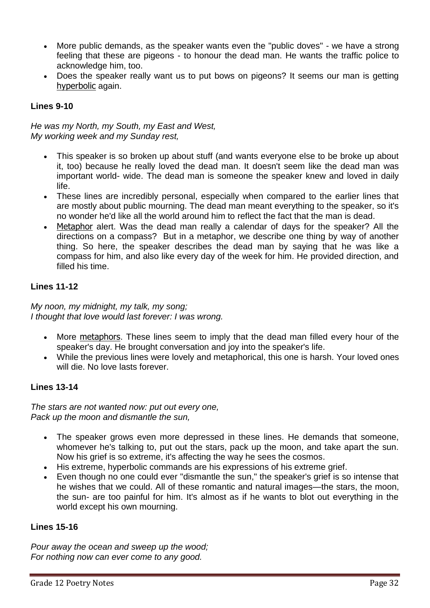- More public demands, as the speaker wants even the "public doves" we have a strong feeling that these are pigeons - to honour the dead man. He wants the traffic police to acknowledge him, too.
- Does the speaker really want us to put bows on pigeons? It seems our man is getting [hyperbolic](http://www.shmoop.com/literature-glossary/hyperbole.html) again.

# **Lines 9-10**

*He was my North, my South, my East and West, My working week and my Sunday rest,*

- This speaker is so broken up about stuff (and wants everyone else to be broke up about it, too) because he really loved the dead man. It doesn't seem like the dead man was important world- wide. The dead man is someone the speaker knew and loved in daily life.
- These lines are incredibly personal, especially when compared to the earlier lines that are mostly about public mourning. The dead man meant everything to the speaker, so it's no wonder he'd like all the world around him to reflect the fact that the man is dead.
- [Metaphor](http://www.shmoop.com/literature-glossary/metaphor.html) alert. Was the dead man really a calendar of days for the speaker? All the directions on a compass? But in a metaphor, we describe one thing by way of another thing. So here, the speaker describes the dead man by saying that he was like a compass for him, and also like every day of the week for him. He provided direction, and filled his time.

# **Lines 11-12**

*My noon, my midnight, my talk, my song; I thought that love would last forever: I was wrong.*

- More [metaphors](http://www.shmoop.com/literature-glossary/metaphor.html). These lines seem to imply that the dead man filled every hour of the speaker's day. He brought conversation and joy into the speaker's life.
- While the previous lines were lovely and metaphorical, this one is harsh. Your loved ones will die. No love lasts forever.

# **Lines 13-14**

*The stars are not wanted now: put out every one, Pack up the moon and dismantle the sun,*

- The speaker grows even more depressed in these lines. He demands that someone, whomever he's talking to, put out the stars, pack up the moon, and take apart the sun. Now his grief is so extreme, it's affecting the way he sees the cosmos.
- His extreme, hyperbolic commands are his expressions of his extreme grief.
- Even though no one could ever "dismantle the sun," the speaker's grief is so intense that he wishes that we could. All of these romantic and natural images—the stars, the moon, the sun- are too painful for him. It's almost as if he wants to blot out everything in the world except his own mourning.

# **Lines 15-16**

*Pour away the ocean and sweep up the wood; For nothing now can ever come to any good.*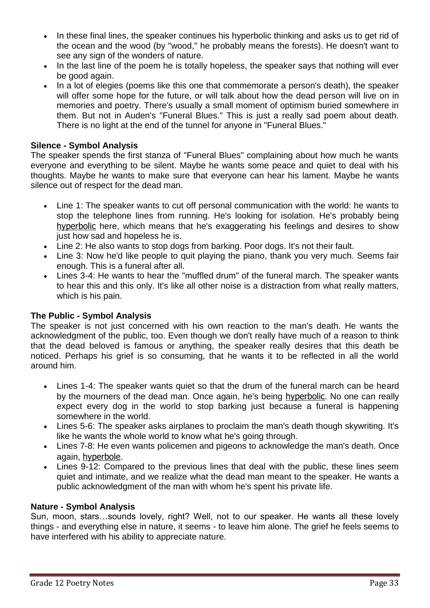- In these final lines, the speaker continues his hyperbolic thinking and asks us to get rid of the ocean and the wood (by "wood," he probably means the forests). He doesn't want to see any sign of the wonders of nature.
- In the last line of the poem he is totally hopeless, the speaker says that nothing will ever be good again.
- In a lot of elegies (poems like this one that commemorate a person's death), the speaker will offer some hope for the future, or will talk about how the dead person will live on in memories and poetry. There's usually a small moment of optimism buried somewhere in them. But not in Auden's "Funeral Blues." This is just a really sad poem about death. There is no light at the end of the tunnel for anyone in "Funeral Blues."

# **Silence - Symbol Analysis**

The speaker spends the first stanza of "Funeral Blues" complaining about how much he wants everyone and everything to be silent. Maybe he wants some peace and quiet to deal with his thoughts. Maybe he wants to make sure that everyone can hear his lament. Maybe he wants silence out of respect for the dead man.

- Line 1: The speaker wants to cut off personal communication with the world: he wants to stop the telephone lines from running. He's looking for isolation. He's probably being [hyperbolic](http://www.shmoop.com/literature-glossary/hyperbole.html) here, which means that he's exaggerating his feelings and desires to show just how sad and hopeless he is.
- Line 2: He also wants to stop dogs from barking. Poor dogs. It's not their fault.
- Line 3: Now he'd like people to quit playing the piano, thank you very much. Seems fair enough. This is a funeral after all.
- Lines 3-4: He wants to hear the "muffled drum" of the funeral march. The speaker wants to hear this and this only. It's like all other noise is a distraction from what really matters, which is his pain.

# **The Public - Symbol Analysis**

The speaker is not just concerned with his own reaction to the man's death. He wants the acknowledgment of the public, too. Even though we don't really have much of a reason to think that the dead beloved is famous or anything, the speaker really desires that this death be noticed. Perhaps his grief is so consuming, that he wants it to be reflected in all the world around him.

- Lines 1-4: The speaker wants quiet so that the drum of the funeral march can be heard by the mourners of the dead man. Once again, he's being [hyperbolic](http://www.shmoop.com/literature-glossary/hyperbole.html). No one can really expect every dog in the world to stop barking just because a funeral is happening somewhere in the world.
- Lines 5-6: The speaker asks airplanes to proclaim the man's death though skywriting. It's like he wants the whole world to know what he's going through.
- Lines 7-8: He even wants policemen and pigeons to acknowledge the man's death. Once again, [hyperbole](http://www.shmoop.com/literature-glossary/hyperbole.html).
- Lines 9-12: Compared to the previous lines that deal with the public, these lines seem quiet and intimate, and we realize what the dead man meant to the speaker. He wants a public acknowledgment of the man with whom he's spent his private life.

# **Nature - Symbol Analysis**

Sun, moon, stars…sounds lovely, right? Well, not to our speaker. He wants all these lovely things - and everything else in nature, it seems - to leave him alone. The grief he feels seems to have interfered with his ability to appreciate nature.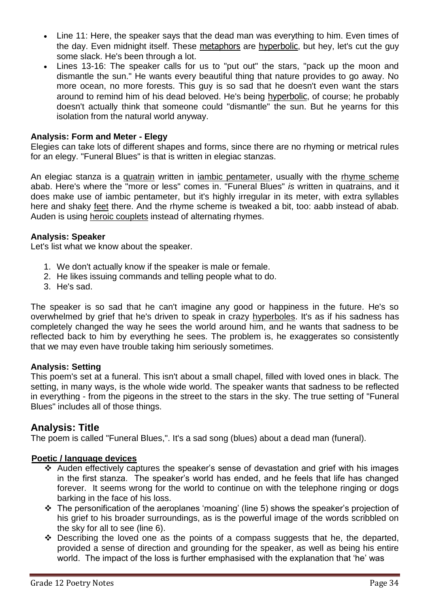- Line 11: Here, the speaker says that the dead man was everything to him. Even times of the day. Even midnight itself. These [metaphors](http://www.shmoop.com/literature-glossary/metaphor.html) are [hyperbolic](http://www.shmoop.com/literature-glossary/hyperbole.html), but hey, let's cut the guy some slack. He's been through a lot.
- Lines 13-16: The speaker calls for us to "put out" the stars, "pack up the moon and dismantle the sun." He wants every beautiful thing that nature provides to go away. No more ocean, no more forests. This guy is so sad that he doesn't even want the stars around to remind him of his dead beloved. He's being [hyperbolic](http://www.shmoop.com/literature-glossary/hyperbole.html), of course; he probably doesn't actually think that someone could "dismantle" the sun. But he yearns for this isolation from the natural world anyway.

# **Analysis: Form and Meter - Elegy**

Elegies can take lots of different shapes and forms, since there are no rhyming or metrical rules for an elegy. "Funeral Blues" is that is written in elegiac stanzas.

An elegiac stanza is a [quatrain](http://www.shmoop.com/literature-glossary/quatrain.html) written in *iambic pentameter*, usually with the [rhyme scheme](http://www.shmoop.com/literature-glossary/rhyme-scheme.html) abab. Here's where the "more or less" comes in. "Funeral Blues" *is* written in quatrains, and it does make use of iambic pentameter, but it's highly irregular in its meter, with extra syllables here and shaky [feet](http://www.shmoop.com/literature-glossary/foot.html) there. And the rhyme scheme is tweaked a bit, too: aabb instead of abab. Auden is using [heroic couplets](http://www.shmoop.com/literature-glossary/heroic-couplet.html) instead of alternating rhymes.

# **Analysis: Speaker**

Let's list what we know about the speaker.

- 1. We don't actually know if the speaker is male or female.
- 2. He likes issuing commands and telling people what to do.
- 3. He's sad.

The speaker is so sad that he can't imagine any good or happiness in the future. He's so overwhelmed by grief that he's driven to speak in crazy [hyperboles.](http://www.shmoop.com/literature-glossary/hyperbole.html) It's as if his sadness has completely changed the way he sees the world around him, and he wants that sadness to be reflected back to him by everything he sees. The problem is, he exaggerates so consistently that we may even have trouble taking him seriously sometimes.

# **Analysis: Setting**

This poem's set at a funeral. This isn't about a small chapel, filled with loved ones in black. The setting, in many ways, is the whole wide world. The speaker wants that sadness to be reflected in everything - from the pigeons in the street to the stars in the sky. The true setting of "Funeral Blues" includes all of those things.

# **Analysis: Title**

The poem is called "Funeral Blues,". It's a sad song (blues) about a dead man (funeral).

# **Poetic / language devices**

- Auden effectively captures the speaker's sense of devastation and grief with his images in the first stanza. The speaker's world has ended, and he feels that life has changed forever. It seems wrong for the world to continue on with the telephone ringing or dogs barking in the face of his loss.
- The personification of the aeroplanes 'moaning' (line 5) shows the speaker's projection of his grief to his broader surroundings, as is the powerful image of the words scribbled on the sky for all to see (line 6).
- $\div$  Describing the loved one as the points of a compass suggests that he, the departed, provided a sense of direction and grounding for the speaker, as well as being his entire world. The impact of the loss is further emphasised with the explanation that 'he' was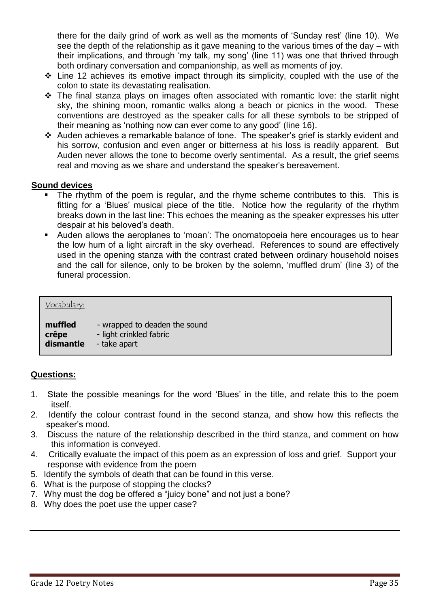there for the daily grind of work as well as the moments of 'Sunday rest' (line 10). We see the depth of the relationship as it gave meaning to the various times of the day – with their implications, and through 'my talk, my song' (line 11) was one that thrived through both ordinary conversation and companionship, as well as moments of joy.

- $\div$  Line 12 achieves its emotive impact through its simplicity, coupled with the use of the colon to state its devastating realisation.
- \* The final stanza plays on images often associated with romantic love: the starlit night sky, the shining moon, romantic walks along a beach or picnics in the wood. These conventions are destroyed as the speaker calls for all these symbols to be stripped of their meaning as 'nothing now can ever come to any good' (line 16).
- Auden achieves a remarkable balance of tone. The speaker's grief is starkly evident and his sorrow, confusion and even anger or bitterness at his loss is readily apparent. But Auden never allows the tone to become overly sentimental. As a result, the grief seems real and moving as we share and understand the speaker's bereavement.

# **Sound devices**

- The rhythm of the poem is regular, and the rhyme scheme contributes to this. This is fitting for a 'Blues' musical piece of the title. Notice how the regularity of the rhythm breaks down in the last line: This echoes the meaning as the speaker expresses his utter despair at his beloved's death.
- Auden allows the aeroplanes to 'moan': The onomatopoeia here encourages us to hear the low hum of a light aircraft in the sky overhead. References to sound are effectively used in the opening stanza with the contrast crated between ordinary household noises and the call for silence, only to be broken by the solemn, 'muffled drum' (line 3) of the funeral procession.

| Vocabulary: |                               |
|-------------|-------------------------------|
| muffled     | - wrapped to deaden the sound |
| crêpe       | - light crinkled fabric       |
| dismantle   | - take apart                  |

# **Questions:**

- 1. State the possible meanings for the word 'Blues' in the title, and relate this to the poem itself.
- 2. Identify the colour contrast found in the second stanza, and show how this reflects the speaker's mood.
- 3. Discuss the nature of the relationship described in the third stanza, and comment on how this information is conveyed.
- 4. Critically evaluate the impact of this poem as an expression of loss and grief. Support your response with evidence from the poem
- 5. Identify the symbols of death that can be found in this verse.
- 6. What is the purpose of stopping the clocks?
- 7. Why must the dog be offered a "juicy bone" and not just a bone?
- 8. Why does the poet use the upper case?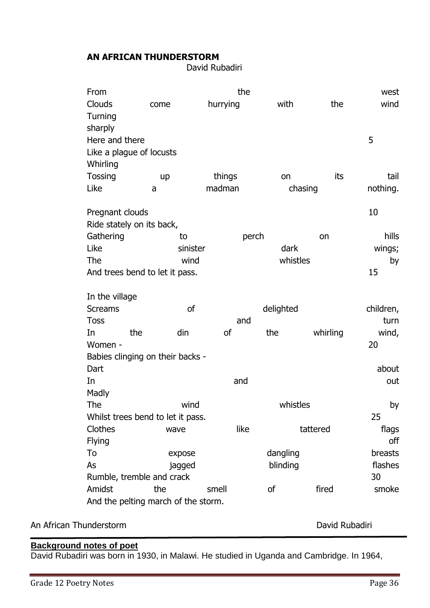# **AN AFRICAN THUNDERSTORM**

David Rubadiri

| From                      |                                            | the           |           |          | west      |
|---------------------------|--------------------------------------------|---------------|-----------|----------|-----------|
| Clouds                    | come                                       | hurrying      | with      | the      | wind      |
| Turning                   |                                            |               |           |          |           |
| sharply                   |                                            |               |           |          |           |
| Here and there            |                                            |               |           |          | 5         |
| Like a plague of locusts  |                                            |               |           |          |           |
| Whirling                  |                                            |               |           |          |           |
| Tossing                   | <b>up</b>                                  | things        | on        | its      | tail      |
| Like                      | a                                          | madman        | chasing   |          | nothing.  |
| Pregnant clouds           |                                            |               |           |          | 10        |
| Ride stately on its back, |                                            |               |           |          |           |
| Gathering                 | to                                         |               | perch     | on       | hills     |
| Like                      |                                            | sinister      | dark      |          | wings;    |
| The                       | wind                                       |               | whistles  |          | by        |
|                           | And trees bend to let it pass.             |               |           |          | 15        |
| In the village            |                                            |               |           |          |           |
|                           |                                            |               |           |          |           |
| <b>Screams</b>            | <sub>of</sub>                              |               | delighted |          | children, |
| <b>Toss</b>               |                                            | and           |           |          | turn      |
| the<br>In                 | din                                        | <sub>of</sub> | the       | whirling | wind,     |
| Women -                   |                                            |               |           |          | 20        |
|                           | Babies clinging on their backs -           |               |           |          |           |
| Dart                      |                                            |               |           |          | about     |
| In                        |                                            | and           |           |          | out       |
| Madly                     |                                            |               |           |          |           |
| The                       | wind                                       |               | whistles  |          | by        |
|                           | Whilst trees bend to let it pass.          |               |           |          | 25        |
| Clothes                   | wave                                       | like          |           | tattered | flags     |
| <b>Flying</b>             |                                            |               |           |          | off       |
| To                        | expose                                     |               | dangling  |          | breasts   |
| As                        | jagged                                     |               | blinding  |          | flashes   |
|                           | Rumble, tremble and crack                  |               |           |          | 30        |
| Amidst                    | the<br>And the pelting march of the storm. | smell         | 0f        | fired    | smoke     |

# An African Thunderstorm **David Rubadiri David Rubadiri David Rubadiri**

# **Background notes of poet**

David Rubadiri was born in 1930, in Malawi. He studied in Uganda and Cambridge. In 1964,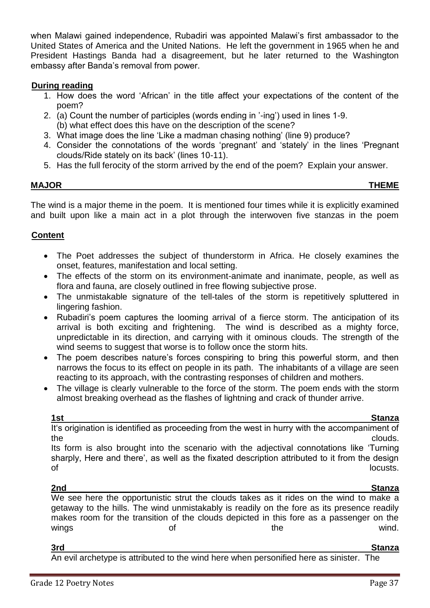when Malawi gained independence, Rubadiri was appointed Malawi's first ambassador to the United States of America and the United Nations. He left the government in 1965 when he and President Hastings Banda had a disagreement, but he later returned to the Washington embassy after Banda's removal from power.

# **During reading**

- 1. How does the word 'African' in the title affect your expectations of the content of the poem?
- 2. (a) Count the number of participles (words ending in '-ing') used in lines 1-9. (b) what effect does this have on the description of the scene?
- 3. What image does the line 'Like a madman chasing nothing' (line 9) produce?
- 4. Consider the connotations of the words 'pregnant' and 'stately' in the lines 'Pregnant clouds/Ride stately on its back' (lines 10-11).
- 5. Has the full ferocity of the storm arrived by the end of the poem? Explain your answer.

# **MAJOR THEME**

The wind is a major theme in the poem. It is mentioned four times while it is explicitly examined and built upon like a main act in a plot through the interwoven five stanzas in the poem

# **Content**

- The Poet addresses the subject of thunderstorm in Africa. He closely examines the onset, features, manifestation and local setting.
- The effects of the storm on its environment-animate and inanimate, people, as well as flora and fauna, are closely outlined in free flowing subjective prose.
- The unmistakable signature of the tell-tales of the storm is repetitively spluttered in lingering fashion.
- Rubadiri's poem captures the looming arrival of a fierce storm. The anticipation of its arrival is both exciting and frightening. The wind is described as a mighty force, unpredictable in its direction, and carrying with it ominous clouds. The strength of the wind seems to suggest that worse is to follow once the storm hits.
- The poem describes nature's forces conspiring to bring this powerful storm, and then narrows the focus to its effect on people in its path. The inhabitants of a village are seen reacting to its approach, with the contrasting responses of children and mothers.
- The village is clearly vulnerable to the force of the storm. The poem ends with the storm almost breaking overhead as the flashes of lightning and crack of thunder arrive.

**1st Stanza** It's origination is identified as proceeding from the west in hurry with the accompaniment of the clouds.

Its form is also brought into the scenario with the adjectival connotations like 'Turning sharply, Here and there', as well as the fixated description attributed to it from the design of the locusts.

#### **2nd Stanza**

We see here the opportunistic strut the clouds takes as it rides on the wind to make a getaway to the hills. The wind unmistakably is readily on the fore as its presence readily makes room for the transition of the clouds depicted in this fore as a passenger on the wings when the wind.

# <u>**3rd** Stanza</u>

An evil archetype is attributed to the wind here when personified here as sinister. The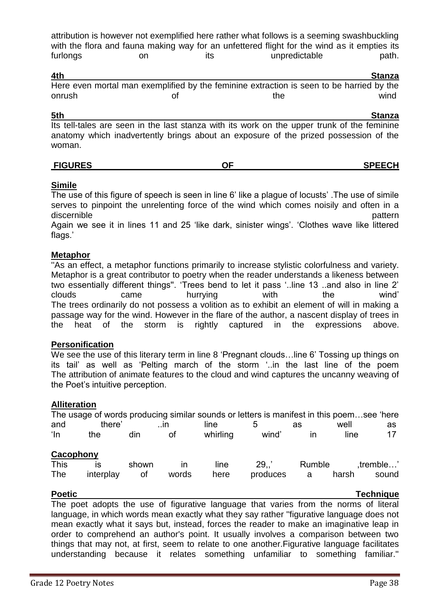attribution is however not exemplified here rather what follows is a seeming swashbuckling with the flora and fauna making way for an unfettered flight for the wind as it empties its furlongs on on its unpredictable path.

| 4th    |                                                                                          | Stanza |
|--------|------------------------------------------------------------------------------------------|--------|
|        | Here even mortal man exemplified by the feminine extraction is seen to be harried by the |        |
| onrush | the                                                                                      | wind   |

#### **5th Stanza**

Its tell-tales are seen in the last stanza with its work on the upper trunk of the feminine anatomy which inadvertently brings about an exposure of the prized possession of the woman.

| <b>FIGURES</b><br>--<br> | <b>SPEECH</b> |
|--------------------------|---------------|
|--------------------------|---------------|

# **Simile**

The use of this figure of speech is seen in line 6' like a plague of locusts' .The use of simile serves to pinpoint the unrelenting force of the wind which comes noisily and often in a discernible **pattern** 

Again we see it in lines 11 and 25 'like dark, sinister wings'. 'Clothes wave like littered flags.'

# **Metaphor**

''As an effect, a metaphor functions primarily to increase stylistic colorfulness and variety. Metaphor is a great contributor to poetry when the reader understands a likeness between two essentially different things''. 'Trees bend to let it pass '..line 13 ..and also in line 2' clouds came hurrying with the wind' The trees ordinarily do not possess a volition as to exhibit an element of will in making a passage way for the wind. However in the flare of the author, a nascent display of trees in the heat of the storm is rightly captured in the expressions above.

# **Personification**

We see the use of this literary term in line 8 'Pregnant clouds... line 6' Tossing up things on its tail' as well as 'Pelting march of the storm '..in the last line of the poem The attribution of animate features to the cloud and wind captures the uncanny weaving of the Poet's intuitive perception.

# **Alliteration**

|             |           |       |              |          | The usage of words producing similar sounds or letters is manifest in this poemsee 'here |        |       |           |
|-------------|-----------|-------|--------------|----------|------------------------------------------------------------------------------------------|--------|-------|-----------|
| and         | there'    |       | $\mathsf{I}$ | line     |                                                                                          | as     | well  | as        |
| ʻln         | the       | din   | οt           | whirling | wind'                                                                                    | ın     | line  | 17        |
| Cacophony   |           |       |              |          |                                                                                          |        |       |           |
| <b>This</b> | IS        | shown | ın           | line     | 29.7                                                                                     | Rumble |       | .tremble' |
| The         | interplay | οt    | words        | here     | produces                                                                                 | a      | harsh | sound     |

**Poetic** Technique

The poet adopts the use of figurative language that varies from the norms of literal language, in which words mean exactly what they say rather ''figurative language does not mean exactly what it says but, instead, forces the reader to make an imaginative leap in order to comprehend an author's point. It usually involves a comparison between two things that may not, at first, seem to relate to one another.Figurative language facilitates understanding because it relates something unfamiliar to something familiar.''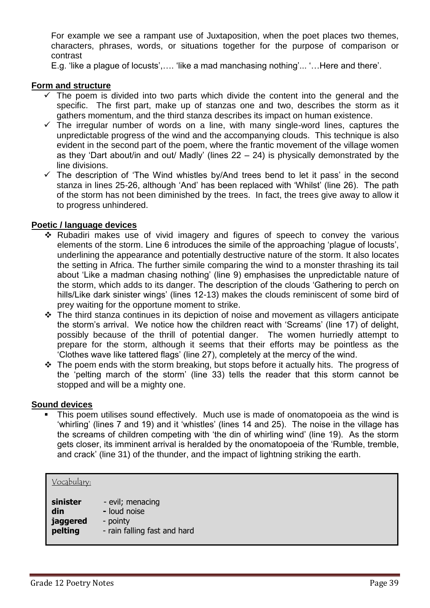For example we see a rampant use of Juxtaposition, when the poet places two themes, characters, phrases, words, or situations together for the purpose of comparison or contrast

E.g. 'like a plague of locusts',…. 'like a mad manchasing nothing'... '…Here and there'.

### **Form and structure**

- $\checkmark$  The poem is divided into two parts which divide the content into the general and the specific. The first part, make up of stanzas one and two, describes the storm as it gathers momentum, and the third stanza describes its impact on human existence.
- The irregular number of words on a line, with many single-word lines, captures the unpredictable progress of the wind and the accompanying clouds. This technique is also evident in the second part of the poem, where the frantic movement of the village women as they 'Dart about/in and out/ Madly' (lines 22 – 24) is physically demonstrated by the line divisions.
- $\checkmark$  The description of 'The Wind whistles by/And trees bend to let it pass' in the second stanza in lines 25-26, although 'And' has been replaced with 'Whilst' (line 26). The path of the storm has not been diminished by the trees. In fact, the trees give away to allow it to progress unhindered.

### **Poetic / language devices**

- \* Rubadiri makes use of vivid imagery and figures of speech to convey the various elements of the storm. Line 6 introduces the simile of the approaching 'plague of locusts', underlining the appearance and potentially destructive nature of the storm. It also locates the setting in Africa. The further simile comparing the wind to a monster thrashing its tail about 'Like a madman chasing nothing' (line 9) emphasises the unpredictable nature of the storm, which adds to its danger. The description of the clouds 'Gathering to perch on hills/Like dark sinister wings' (lines 12-13) makes the clouds reminiscent of some bird of prey waiting for the opportune moment to strike.
- The third stanza continues in its depiction of noise and movement as villagers anticipate the storm's arrival. We notice how the children react with 'Screams' (line 17) of delight, possibly because of the thrill of potential danger. The women hurriedly attempt to prepare for the storm, although it seems that their efforts may be pointless as the 'Clothes wave like tattered flags' (line 27), completely at the mercy of the wind.
- $\cdot \cdot$  The poem ends with the storm breaking, but stops before it actually hits. The progress of the 'pelting march of the storm' (line 33) tells the reader that this storm cannot be stopped and will be a mighty one.

#### **Sound devices**

 This poem utilises sound effectively. Much use is made of onomatopoeia as the wind is 'whirling' (lines 7 and 19) and it 'whistles' (lines 14 and 25). The noise in the village has the screams of children competing with 'the din of whirling wind' (line 19). As the storm gets closer, its imminent arrival is heralded by the onomatopoeia of the 'Rumble, tremble, and crack' (line 31) of the thunder, and the impact of lightning striking the earth.

| <u>Vocabulary:</u> |                              |
|--------------------|------------------------------|
| sinister           | - evil; menacing             |
| din                | - loud noise                 |
| jaggered           | - pointy                     |
| pelting            | - rain falling fast and hard |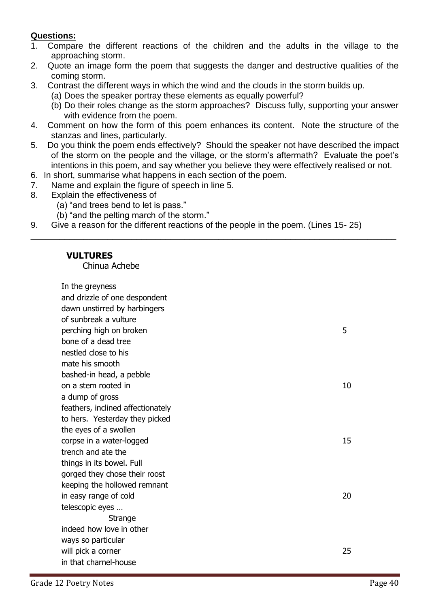# **Questions:**

- 1. Compare the different reactions of the children and the adults in the village to the approaching storm.
- 2. Quote an image form the poem that suggests the danger and destructive qualities of the coming storm.
- 3. Contrast the different ways in which the wind and the clouds in the storm builds up.
	- (a) Does the speaker portray these elements as equally powerful?
	- (b) Do their roles change as the storm approaches? Discuss fully, supporting your answer with evidence from the poem.
- 4. Comment on how the form of this poem enhances its content. Note the structure of the stanzas and lines, particularly.
- 5. Do you think the poem ends effectively? Should the speaker not have described the impact of the storm on the people and the village, or the storm's aftermath? Evaluate the poet's intentions in this poem, and say whether you believe they were effectively realised or not.

\_\_\_\_\_\_\_\_\_\_\_\_\_\_\_\_\_\_\_\_\_\_\_\_\_\_\_\_\_\_\_\_\_\_\_\_\_\_\_\_\_\_\_\_\_\_\_\_\_\_\_\_\_\_\_\_\_\_\_\_\_\_\_\_\_\_\_\_\_\_\_\_\_\_\_\_

- 6. In short, summarise what happens in each section of the poem.
- 7. Name and explain the figure of speech in line 5.
- 8. Explain the effectiveness of
	- (a) "and trees bend to let is pass."
	- (b) "and the pelting march of the storm."
- 9. Give a reason for the different reactions of the people in the poem. (Lines 15- 25)

# **VULTURES**

Chinua Achebe

In the greyness and drizzle of one despondent dawn unstirred by harbingers of sunbreak a vulture perching high on broken 5 bone of a dead tree nestled close to his mate his smooth bashed-in head, a pebble on a stem rooted in 10 a dump of gross feathers, inclined affectionately to hers. Yesterday they picked the eyes of a swollen corpse in a water-logged 15 trench and ate the things in its bowel. Full gorged they chose their roost keeping the hollowed remnant in easy range of cold 20 telescopic eyes … **Strange** indeed how love in other ways so particular will pick a corner 25 in that charnel-house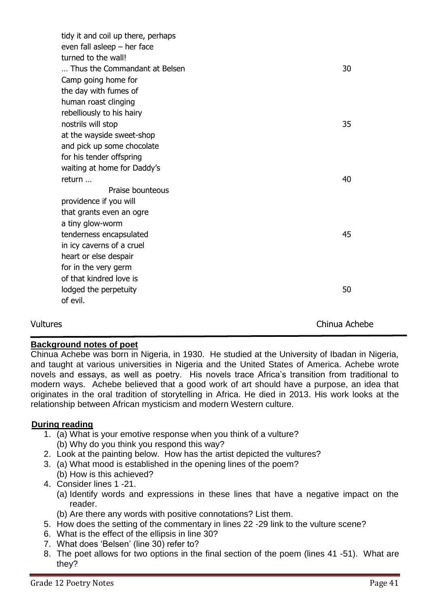|          | tidy it and coil up there, perhaps<br>even fall as leep $-$ her face |               |
|----------|----------------------------------------------------------------------|---------------|
|          | turned to the wall!                                                  |               |
|          | Thus the Commandant at Belsen                                        | 30            |
|          | Camp going home for                                                  |               |
|          | the day with fumes of                                                |               |
|          | human roast clinging                                                 |               |
|          | rebelliously to his hairy                                            |               |
|          | nostrils will stop                                                   | 35            |
|          | at the wayside sweet-shop                                            |               |
|          | and pick up some chocolate                                           |               |
|          | for his tender offspring                                             |               |
|          | waiting at home for Daddy's                                          |               |
|          | return                                                               | 40            |
|          | Praise bounteous                                                     |               |
|          | providence if you will                                               |               |
|          | that grants even an ogre                                             |               |
|          | a tiny glow-worm                                                     |               |
|          | tenderness encapsulated                                              | 45            |
|          | in icy caverns of a cruel                                            |               |
|          | heart or else despair                                                |               |
|          | for in the very germ                                                 |               |
|          | of that kindred love is                                              |               |
|          | lodged the perpetuity                                                | 50            |
|          | of evil.                                                             |               |
|          |                                                                      |               |
| Vultures |                                                                      | Chinua Achebe |

# **Background notes of poet**

Chinua Achebe was born in Nigeria, in 1930. He studied at the University of Ibadan in Nigeria, and taught at various universities in Nigeria and the United States of America. Achebe wrote novels and essays, as well as poetry. His novels trace Africa's transition from traditional to modern ways. Achebe believed that a good work of art should have a purpose, an idea that originates in the oral tradition of storytelling in Africa. He died in 2013. His work looks at the relationship between African mysticism and modern Western culture.

# **During reading**

- 1. (a) What is your emotive response when you think of a vulture? (b) Why do you think you respond this way?
- 2. Look at the painting below. How has the artist depicted the vultures?
- 3. (a) What mood is established in the opening lines of the poem?
	- (b) How is this achieved?
- 4. Consider lines 1 -21.
	- (a) Identify words and expressions in these lines that have a negative impact on the reader.
	- (b) Are there any words with positive connotations? List them.
- 5. How does the setting of the commentary in lines 22 -29 link to the vulture scene?
- 6. What is the effect of the ellipsis in line 30?
- 7. What does 'Belsen' (line 30) refer to?
- 8. The poet allows for two options in the final section of the poem (lines 41 -51). What are they?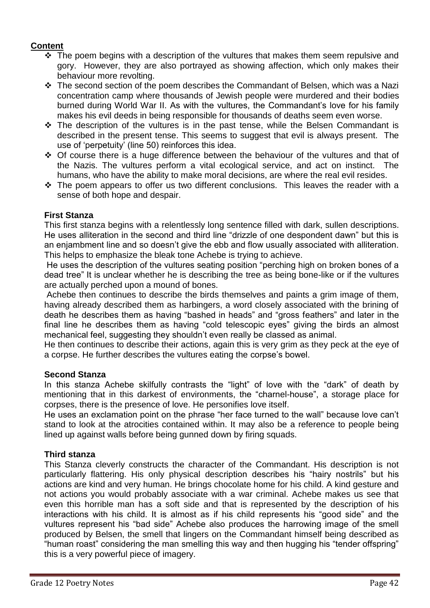# **Content**

- $\div$  The poem begins with a description of the vultures that makes them seem repulsive and gory. However, they are also portrayed as showing affection, which only makes their behaviour more revolting.
- \* The second section of the poem describes the Commandant of Belsen, which was a Nazi concentration camp where thousands of Jewish people were murdered and their bodies burned during World War II. As with the vultures, the Commandant's love for his family makes his evil deeds in being responsible for thousands of deaths seem even worse.
- $\cdot$  The description of the vultures is in the past tense, while the Belsen Commandant is described in the present tense. This seems to suggest that evil is always present. The use of 'perpetuity' (line 50) reinforces this idea.
- Of course there is a huge difference between the behaviour of the vultures and that of the Nazis. The vultures perform a vital ecological service, and act on instinct. The humans, who have the ability to make moral decisions, are where the real evil resides.
- $\cdot$  The poem appears to offer us two different conclusions. This leaves the reader with a sense of both hope and despair.

# **First Stanza**

This first stanza begins with a relentlessly long sentence filled with dark, sullen descriptions. He uses alliteration in the second and third line "drizzle of one despondent dawn" but this is an enjambment line and so doesn't give the ebb and flow usually associated with alliteration. This helps to emphasize the bleak tone Achebe is trying to achieve.

He uses the description of the vultures seating position "perching high on broken bones of a dead tree" It is unclear whether he is describing the tree as being bone-like or if the vultures are actually perched upon a mound of bones.

Achebe then continues to describe the birds themselves and paints a grim image of them, having already described them as harbingers, a word closely associated with the brining of death he describes them as having "bashed in heads" and "gross feathers" and later in the final line he describes them as having "cold telescopic eyes" giving the birds an almost mechanical feel, suggesting they shouldn't even really be classed as animal.

He then continues to describe their actions, again this is very grim as they peck at the eye of a corpse. He further describes the vultures eating the corpse's bowel.

# **Second Stanza**

In this stanza Achebe skilfully contrasts the "light" of love with the "dark" of death by mentioning that in this darkest of environments, the "charnel-house", a storage place for corpses, there is the presence of love. He personifies love itself.

He uses an exclamation point on the phrase "her face turned to the wall" because love can't stand to look at the atrocities contained within. It may also be a reference to people being lined up against walls before being gunned down by firing squads.

# **Third stanza**

This Stanza cleverly constructs the character of the Commandant. His description is not particularly flattering. His only physical description describes his "hairy nostrils" but his actions are kind and very human. He brings chocolate home for his child. A kind gesture and not actions you would probably associate with a war criminal. Achebe makes us see that even this horrible man has a soft side and that is represented by the description of his interactions with his child. It is almost as if his child represents his "good side" and the vultures represent his "bad side" Achebe also produces the harrowing image of the smell produced by Belsen, the smell that lingers on the Commandant himself being described as "human roast" considering the man smelling this way and then hugging his "tender offspring" this is a very powerful piece of imagery.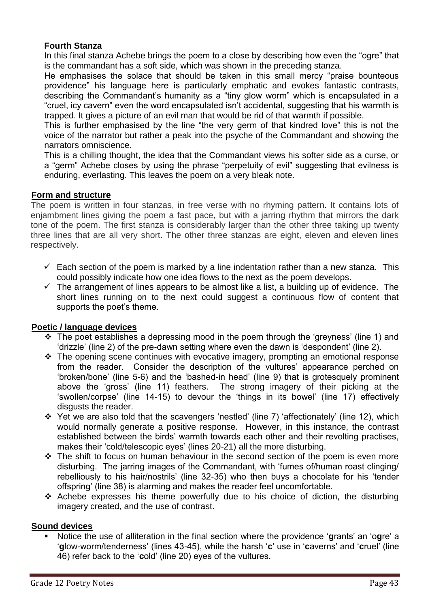# **Fourth Stanza**

In this final stanza Achebe brings the poem to a close by describing how even the "ogre" that is the commandant has a soft side, which was shown in the preceding stanza.

He emphasises the solace that should be taken in this small mercy "praise bounteous providence" his language here is particularly emphatic and evokes fantastic contrasts, describing the Commandant's humanity as a "tiny glow worm" which is encapsulated in a "cruel, icy cavern" even the word encapsulated isn't accidental, suggesting that his warmth is trapped. It gives a picture of an evil man that would be rid of that warmth if possible.

This is further emphasised by the line "the very germ of that kindred love" this is not the voice of the narrator but rather a peak into the psyche of the Commandant and showing the narrators omniscience.

This is a chilling thought, the idea that the Commandant views his softer side as a curse, or a "germ" Achebe closes by using the phrase "perpetuity of evil" suggesting that evilness is enduring, everlasting. This leaves the poem on a very bleak note.

# **Form and structure**

The poem is written in four stanzas, in free verse with no rhyming pattern. It contains lots of enjambment lines giving the poem a fast pace, but with a jarring rhythm that mirrors the dark tone of the poem. The first stanza is considerably larger than the other three taking up twenty three lines that are all very short. The other three stanzas are eight, eleven and eleven lines respectively.

- $\checkmark$  Each section of the poem is marked by a line indentation rather than a new stanza. This could possibly indicate how one idea flows to the next as the poem develops.
- $\checkmark$  The arrangement of lines appears to be almost like a list, a building up of evidence. The short lines running on to the next could suggest a continuous flow of content that supports the poet's theme.

# **Poetic / language devices**

- $\cdot \cdot$  The poet establishes a depressing mood in the poem through the 'greyness' (line 1) and 'drizzle' (line 2) of the pre-dawn setting where even the dawn is 'despondent' (line 2).
- \* The opening scene continues with evocative imagery, prompting an emotional response from the reader. Consider the description of the vultures' appearance perched on 'broken/bone' (line 5-6) and the 'bashed-in head' (line 9) that is grotesquely prominent above the 'gross' (line 11) feathers. The strong imagery of their picking at the 'swollen/corpse' (line 14-15) to devour the 'things in its bowel' (line 17) effectively disgusts the reader.
- Yet we are also told that the scavengers 'nestled' (line 7) 'affectionately' (line 12), which would normally generate a positive response. However, in this instance, the contrast established between the birds' warmth towards each other and their revolting practises, makes their 'cold/telescopic eyes' (lines 20-21) all the more disturbing.
- $\div$  The shift to focus on human behaviour in the second section of the poem is even more disturbing. The jarring images of the Commandant, with 'fumes of/human roast clinging/ rebelliously to his hair/nostrils' (line 32-35) who then buys a chocolate for his 'tender offspring' (line 38) is alarming and makes the reader feel uncomfortable.
- Achebe expresses his theme powerfully due to his choice of diction, the disturbing imagery created, and the use of contrast.

# **Sound devices**

 Notice the use of alliteration in the final section where the providence '**g**rants' an 'o**g**re' a '**g**low-worm/tenderness' (lines 43-45), while the harsh '**c**' use in '**c**averns' and '**c**ruel' (line 46) refer back to the '**c**old' (line 20) eyes of the vultures.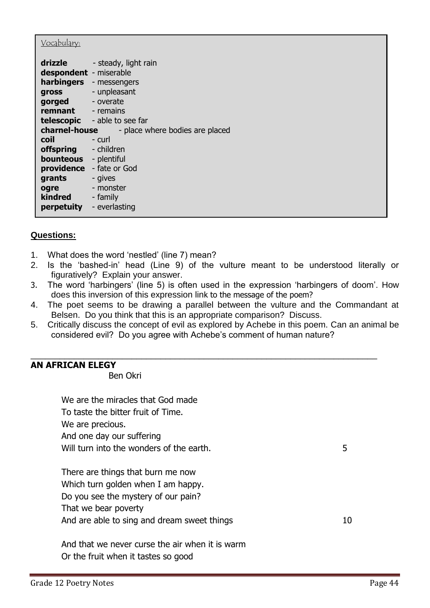| <u>Vocabulary:</u>                                                                                                                              |                                                                                     |
|-------------------------------------------------------------------------------------------------------------------------------------------------|-------------------------------------------------------------------------------------|
| drizzle<br>despondent - miserable<br>gross<br>gorged<br><b>remnant</b> - remains                                                                | - steady, light rain<br><b>harbingers</b> - messengers<br>- unpleasant<br>- overate |
| charnel-house                                                                                                                                   | telescopic - able to see far<br>- place where bodies are placed                     |
| coil<br>offspring<br><b>bounteous</b> - plentiful<br>providence<br>grants<br>ogre<br><b>kindred</b> - family<br><b>perpetuity</b> - everlasting | - curl<br>- children<br>- fate or God<br>- gives<br>- monster                       |

# **Questions:**

- 1. What does the word 'nestled' (line 7) mean?
- 2. Is the 'bashed-in' head (Line 9) of the vulture meant to be understood literally or figuratively? Explain your answer.
- 3. The word 'harbingers' (line 5) is often used in the expression 'harbingers of doom'. How does this inversion of this expression link to the message of the poem?
- 4. The poet seems to be drawing a parallel between the vulture and the Commandant at Belsen. Do you think that this is an appropriate comparison? Discuss.
- 5. Critically discuss the concept of evil as explored by Achebe in this poem. Can an animal be considered evil? Do you agree with Achebe's comment of human nature?

\_\_\_\_\_\_\_\_\_\_\_\_\_\_\_\_\_\_\_\_\_\_\_\_\_\_\_\_\_\_\_\_\_\_\_\_\_\_\_\_\_\_\_\_\_\_\_\_\_\_\_\_\_\_\_\_\_\_\_\_\_\_\_\_\_\_\_\_\_\_\_\_

# **AN AFRICAN ELEGY**

Ben Okri

| We are the miracles that God made<br>To taste the bitter fruit of Time. |    |
|-------------------------------------------------------------------------|----|
| We are precious.                                                        |    |
| And one day our suffering                                               |    |
| Will turn into the wonders of the earth.                                | 5  |
|                                                                         |    |
| There are things that burn me now                                       |    |
| Which turn golden when I am happy.                                      |    |
| Do you see the mystery of our pain?                                     |    |
| That we bear poverty                                                    |    |
| And are able to sing and dream sweet things                             | 10 |
|                                                                         |    |
| And that we never curse the air when it is warm                         |    |
| Or the fruit when it tastes so good                                     |    |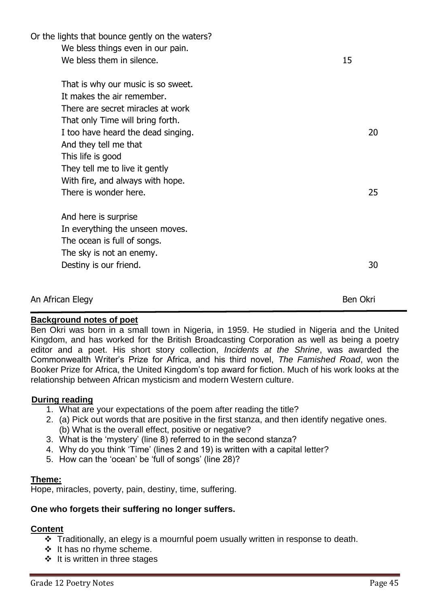| Or the lights that bounce gently on the waters? |                 |
|-------------------------------------------------|-----------------|
| We bless things even in our pain.               |                 |
| We bless them in silence.                       | 15              |
| That is why our music is so sweet.              |                 |
| It makes the air remember.                      |                 |
| There are secret miracles at work               |                 |
| That only Time will bring forth.                |                 |
| I too have heard the dead singing.              | 20              |
| And they tell me that                           |                 |
| This life is good                               |                 |
| They tell me to live it gently                  |                 |
| With fire, and always with hope.                |                 |
| There is wonder here.                           | 25              |
| And here is surprise                            |                 |
| In everything the unseen moves.                 |                 |
| The ocean is full of songs.                     |                 |
| The sky is not an enemy.                        |                 |
| Destiny is our friend.                          | 30              |
| An African Elegy                                | <b>Ben Okri</b> |

# **Background notes of poet**

Ben Okri was born in a small town in Nigeria, in 1959. He studied in Nigeria and the United Kingdom, and has worked for the British Broadcasting Corporation as well as being a poetry editor and a poet. His short story collection, *Incidents at the Shrine*, was awarded the Commonwealth Writer's Prize for Africa, and his third novel, *The Famished Road*, won the Booker Prize for Africa, the United Kingdom's top award for fiction. Much of his work looks at the relationship between African mysticism and modern Western culture.

# **During reading**

- 1. What are your expectations of the poem after reading the title?
- 2. (a) Pick out words that are positive in the first stanza, and then identify negative ones. (b) What is the overall effect, positive or negative?
- 3. What is the 'mystery' (line 8) referred to in the second stanza?
- 4. Why do you think 'Time' (lines 2 and 19) is written with a capital letter?
- 5. How can the 'ocean' be 'full of songs' (line 28)?

# **Theme:**

Hope, miracles, poverty, pain, destiny, time, suffering.

# **One who forgets their suffering no longer suffers.**

# **Content**

- Traditionally, an elegy is a mournful poem usually written in response to death.
- ❖ It has no rhyme scheme.
- $\div$  It is written in three stages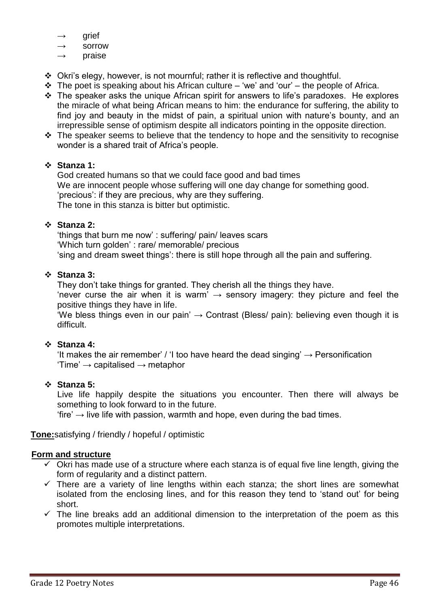- arief
- $\rightarrow$  sorrow
- praise
- Okri's elegy, however, is not mournful; rather it is reflective and thoughtful.
- $\cdot \cdot$  The poet is speaking about his African culture 'we' and 'our' the people of Africa.
- $\cdot \cdot$  The speaker asks the unique African spirit for answers to life's paradoxes. He explores the miracle of what being African means to him: the endurance for suffering, the ability to find joy and beauty in the midst of pain, a spiritual union with nature's bounty, and an irrepressible sense of optimism despite all indicators pointing in the opposite direction.
- $\cdot \cdot$  The speaker seems to believe that the tendency to hope and the sensitivity to recognise wonder is a shared trait of Africa's people.

# **Stanza 1:**

God created humans so that we could face good and bad times We are innocent people whose suffering will one day change for something good. 'precious': if they are precious, why are they suffering. The tone in this stanza is bitter but optimistic.

# **Stanza 2:**

'things that burn me now' : suffering/ pain/ leaves scars 'Which turn golden' : rare/ memorable/ precious 'sing and dream sweet things': there is still hope through all the pain and suffering.

# **Stanza 3:**

They don't take things for granted. They cherish all the things they have. 'never curse the air when it is warm'  $\rightarrow$  sensory imagery: they picture and feel the positive things they have in life.

'We bless things even in our pain'  $\rightarrow$  Contrast (Bless/ pain): believing even though it is difficult.

# **Stanza 4:**

'It makes the air remember' / 'I too have heard the dead singing'  $\rightarrow$  Personification  $'Time' \rightarrow capitalised \rightarrow metaphor$ 

# **Stanza 5:**

Live life happily despite the situations you encounter. Then there will always be something to look forward to in the future.

'fire' → live life with passion, warmth and hope, even during the bad times.

**Tone:**satisfying / friendly / hopeful / optimistic

# **Form and structure**

- $\checkmark$  Okri has made use of a structure where each stanza is of equal five line length, giving the form of regularity and a distinct pattern.
- $\checkmark$  There are a variety of line lengths within each stanza; the short lines are somewhat isolated from the enclosing lines, and for this reason they tend to 'stand out' for being short.
- $\checkmark$  The line breaks add an additional dimension to the interpretation of the poem as this promotes multiple interpretations.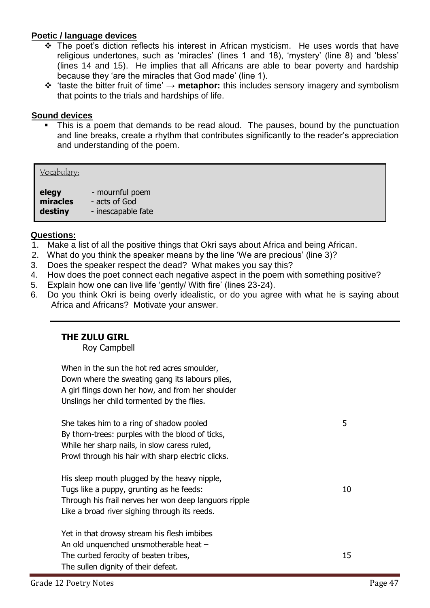# **Poetic / language devices**

- $\hat{P}$  The poet's diction reflects his interest in African mysticism. He uses words that have religious undertones, such as 'miracles' (lines 1 and 18), 'mystery' (line 8) and 'bless' (lines 14 and 15). He implies that all Africans are able to bear poverty and hardship because they 'are the miracles that God made' (line 1).
- 'taste the bitter fruit of time' → **metaphor:** this includes sensory imagery and symbolism that points to the trials and hardships of life.

### **Sound devices**

 This is a poem that demands to be read aloud. The pauses, bound by the punctuation and line breaks, create a rhythm that contributes significantly to the reader's appreciation and understanding of the poem.

#### Vocabulary:

**elegy** - mournful poem **miracles** - acts of God **destiny** - inescapable fate

### **Questions:**

- 1. Make a list of all the positive things that Okri says about Africa and being African.
- 2. What do you think the speaker means by the line 'We are precious' (line 3)?
- 3. Does the speaker respect the dead? What makes you say this?
- 4. How does the poet connect each negative aspect in the poem with something positive?
- 5. Explain how one can live life 'gently/ With fire' (lines 23-24).
- 6. Do you think Okri is being overly idealistic, or do you agree with what he is saying about Africa and Africans? Motivate your answer.

# **THE ZULU GIRL**

Roy Campbell

When in the sun the hot red acres smoulder, Down where the sweating gang its labours plies, A girl flings down her how, and from her shoulder Unslings her child tormented by the flies.

She takes him to a ring of shadow pooled 5 By thorn-trees: purples with the blood of ticks, While her sharp nails, in slow caress ruled, Prowl through his hair with sharp electric clicks. His sleep mouth plugged by the heavy nipple, Tugs like a puppy, grunting as he feeds: 10 Through his frail nerves her won deep languors ripple Like a broad river sighing through its reeds. Yet in that drowsy stream his flesh imbibes An old unquenched unsmotherable heat – The curbed ferocity of beaten tribes, 15 The sullen dignity of their defeat.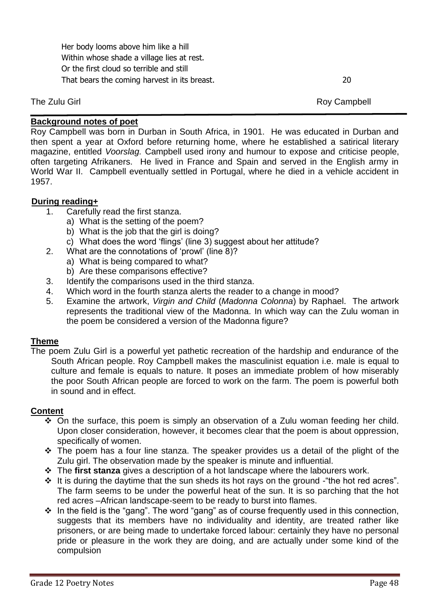Her body looms above him like a hill Within whose shade a village lies at rest. Or the first cloud so terrible and still That bears the coming harvest in its breast. 20

The Zulu Girl **Roy Campbell** Roy Campbell Roy Campbell

# **Background notes of poet**

Roy Campbell was born in Durban in South Africa, in 1901. He was educated in Durban and then spent a year at Oxford before returning home, where he established a satirical literary magazine, entitled *Voorslag.* Campbell used irony and humour to expose and criticise people, often targeting Afrikaners. He lived in France and Spain and served in the English army in World War II. Campbell eventually settled in Portugal, where he died in a vehicle accident in 1957.

# **During reading+**

- 1. Carefully read the first stanza.
	- a) What is the setting of the poem?
	- b) What is the job that the girl is doing?
	- c) What does the word 'flings' (line 3) suggest about her attitude?
- 2. What are the connotations of 'prowl' (line 8)?
	- a) What is being compared to what?
	- b) Are these comparisons effective?
- 3. Identify the comparisons used in the third stanza.
- 4. Which word in the fourth stanza alerts the reader to a change in mood?
- 5. Examine the artwork, *Virgin and Child* (*Madonna Colonna*) by Raphael. The artwork represents the traditional view of the Madonna. In which way can the Zulu woman in the poem be considered a version of the Madonna figure?

# **Theme**

The poem Zulu Girl is a powerful yet pathetic recreation of the hardship and endurance of the South African people. Roy Campbell makes the masculinist equation i.e. male is equal to culture and female is equals to nature. It poses an immediate problem of how miserably the poor South African people are forced to work on the farm. The poem is powerful both in sound and in effect.

# **Content**

- On the surface, this poem is simply an observation of a Zulu woman feeding her child. Upon closer consideration, however, it becomes clear that the poem is about oppression, specifically of women.
- \* The poem has a four line stanza. The speaker provides us a detail of the plight of the Zulu girl. The observation made by the speaker is minute and influential.
- The **first stanza** gives a description of a hot landscape where the labourers work.
- $\cdot$  It is during the daytime that the sun sheds its hot rays on the ground the hot red acres". The farm seems to be under the powerful heat of the sun. It is so parching that the hot red acres –African landscape-seem to be ready to burst into flames.
- $\cdot$  In the field is the "gang". The word "gang" as of course frequently used in this connection, suggests that its members have no individuality and identity, are treated rather like prisoners, or are being made to undertake forced labour: certainly they have no personal pride or pleasure in the work they are doing, and are actually under some kind of the compulsion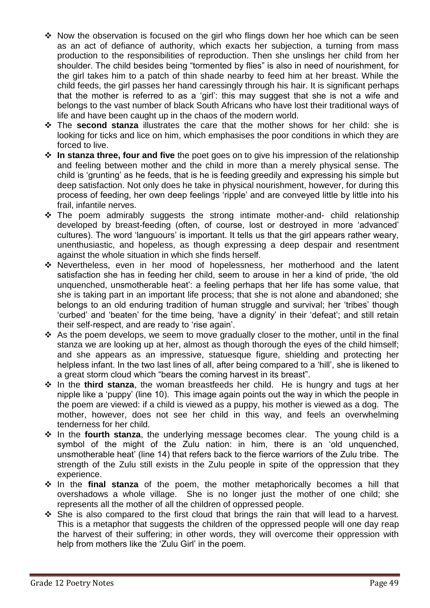- $\cdot$  Now the observation is focused on the girl who flings down her hoe which can be seen as an act of defiance of authority, which exacts her subjection, a turning from mass production to the responsibilities of reproduction. Then she unslings her child from her shoulder. The child besides being "tormented by flies" is also in need of nourishment, for the girl takes him to a patch of thin shade nearby to feed him at her breast. While the child feeds, the girl passes her hand caressingly through his hair. It is significant perhaps that the mother is referred to as a 'girl': this may suggest that she is not a wife and belongs to the vast number of black South Africans who have lost their traditional ways of life and have been caught up in the chaos of the modern world.
- The **second stanza** illustrates the care that the mother shows for her child: she is looking for ticks and lice on him, which emphasises the poor conditions in which they are forced to live.
- **In stanza three, four and five** the poet goes on to give his impression of the relationship and feeling between mother and the child in more than a merely physical sense. The child is 'grunting' as he feeds, that is he is feeding greedily and expressing his simple but deep satisfaction. Not only does he take in physical nourishment, however, for during this process of feeding, her own deep feelings 'ripple' and are conveyed little by little into his frail, infantile nerves.
- \* The poem admirably suggests the strong intimate mother-and- child relationship developed by breast-feeding (often, of course, lost or destroyed in more 'advanced' cultures). The word 'languours' is important. It tells us that the girl appears rather weary, unenthusiastic, and hopeless, as though expressing a deep despair and resentment against the whole situation in which she finds herself.
- Nevertheless, even in her mood of hopelessness, her motherhood and the latent satisfaction she has in feeding her child, seem to arouse in her a kind of pride, 'the old unquenched, unsmotherable heat': a feeling perhaps that her life has some value, that she is taking part in an important life process; that she is not alone and abandoned; she belongs to an old enduring tradition of human struggle and survival; her 'tribes' though 'curbed' and 'beaten' for the time being, 'have a dignity' in their 'defeat'; and still retain their self-respect, and are ready to 'rise again'.
- As the poem develops, we seem to move gradually closer to the mother, until in the final stanza we are looking up at her, almost as though thorough the eyes of the child himself; and she appears as an impressive, statuesque figure, shielding and protecting her helpless infant. In the two last lines of all, after being compared to a 'hill', she is likened to a great storm cloud which "bears the coming harvest in its breast".
- $\dots$  In the **third stanza**, the woman breastfeeds her child. He is hungry and tugs at her nipple like a 'puppy' (line 10). This image again points out the way in which the people in the poem are viewed: if a child is viewed as a puppy, his mother is viewed as a dog. The mother, however, does not see her child in this way, and feels an overwhelming tenderness for her child.
- \* In the **fourth stanza**, the underlying message becomes clear. The young child is a symbol of the might of the Zulu nation: in him, there is an 'old unquenched, unsmotherable heat' (line 14) that refers back to the fierce warriors of the Zulu tribe. The strength of the Zulu still exists in the Zulu people in spite of the oppression that they experience.
- **In the final stanza** of the poem, the mother metaphorically becomes a hill that overshadows a whole village. She is no longer just the mother of one child; she represents all the mother of all the children of oppressed people.
- She is also compared to the first cloud that brings the rain that will lead to a harvest. This is a metaphor that suggests the children of the oppressed people will one day reap the harvest of their suffering; in other words, they will overcome their oppression with help from mothers like the 'Zulu Girl' in the poem.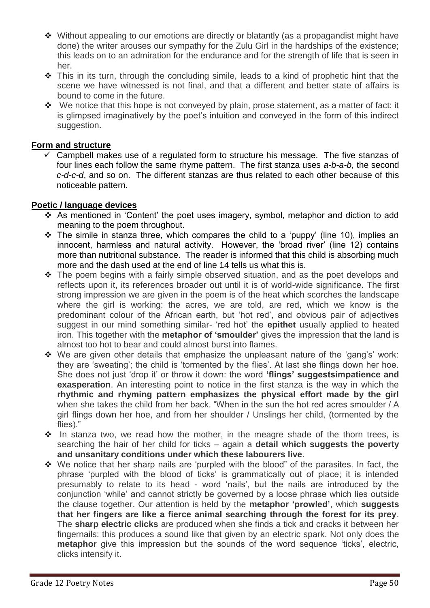- Without appealing to our emotions are directly or blatantly (as a propagandist might have done) the writer arouses our sympathy for the Zulu Girl in the hardships of the existence; this leads on to an admiration for the endurance and for the strength of life that is seen in her.
- $\hat{\mathbf{v}}$  This in its turn, through the concluding simile, leads to a kind of prophetic hint that the scene we have witnessed is not final, and that a different and better state of affairs is bound to come in the future.
- $\div$  We notice that this hope is not conveyed by plain, prose statement, as a matter of fact: it is glimpsed imaginatively by the poet's intuition and conveyed in the form of this indirect suggestion.

# **Form and structure**

 Campbell makes use of a regulated form to structure his message. The five stanzas of four lines each follow the same rhyme pattern. The first stanza uses *a-b-a-b,* the second *c-d-c-d*, and so on. The different stanzas are thus related to each other because of this noticeable pattern.

# **Poetic / language devices**

- \* As mentioned in 'Content' the poet uses imagery, symbol, metaphor and diction to add meaning to the poem throughout.
- $\div$  The simile in stanza three, which compares the child to a 'puppy' (line 10), implies an innocent, harmless and natural activity. However, the 'broad river' (line 12) contains more than nutritional substance. The reader is informed that this child is absorbing much more and the dash used at the end of line 14 tells us what this is.
- The poem begins with a fairly simple observed situation, and as the poet develops and reflects upon it, its references broader out until it is of world-wide significance. The first strong impression we are given in the poem is of the heat which scorches the landscape where the girl is working: the acres, we are told, are red, which we know is the predominant colour of the African earth, but 'hot red', and obvious pair of adjectives suggest in our mind something similar- 'red hot' the **epithet** usually applied to heated iron. This together with the **metaphor of 'smoulder'** gives the impression that the land is almost too hot to bear and could almost burst into flames.
- $\div$  We are given other details that emphasize the unpleasant nature of the 'gang's' work: they are 'sweating'; the child is 'tormented by the flies'. At last she flings down her hoe. She does not just 'drop it' or throw it down: the word **'flings' suggestsimpatience and exasperation**. An interesting point to notice in the first stanza is the way in which the **rhythmic and rhyming pattern emphasizes the physical effort made by the girl** when she takes the child from her back. "When in the sun the hot red acres smoulder / A girl flings down her hoe, and from her shoulder / Unslings her child, (tormented by the flies)."
- $\cdot \cdot$  In stanza two, we read how the mother, in the meagre shade of the thorn trees, is searching the hair of her child for ticks – again a **detail which suggests the poverty and unsanitary conditions under which these labourers live**.
- $\div$  We notice that her sharp nails are 'purpled with the blood" of the parasites. In fact, the phrase 'purpled with the blood of ticks' is grammatically out of place; it is intended presumably to relate to its head - word 'nails', but the nails are introduced by the conjunction 'while' and cannot strictly be governed by a loose phrase which lies outside the clause together. Our attention is held by the **metaphor 'prowled'**, which **suggests that her fingers are like a fierce animal searching through the forest for its prey**. The **sharp electric clicks** are produced when she finds a tick and cracks it between her fingernails: this produces a sound like that given by an electric spark. Not only does the **metaphor** give this impression but the sounds of the word sequence 'ticks', electric, clicks intensify it.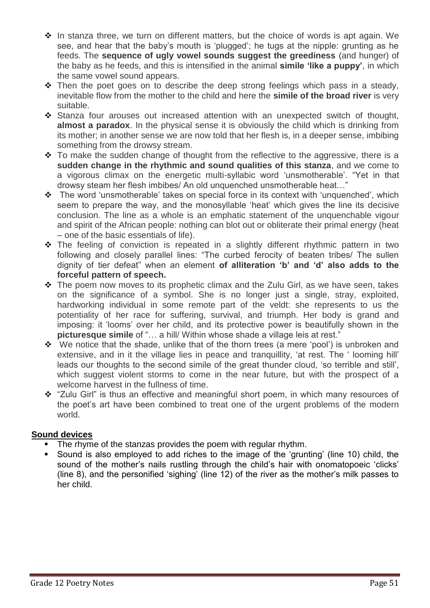- $\cdot \cdot$  In stanza three, we turn on different matters, but the choice of words is apt again. We see, and hear that the baby's mouth is 'plugged'; he tugs at the nipple: grunting as he feeds. The **sequence of ugly vowel sounds suggest the greediness** (and hunger) of the baby as he feeds, and this is intensified in the animal **simile 'like a puppy'**, in which the same vowel sound appears.
- $\div$  Then the poet goes on to describe the deep strong feelings which pass in a steady, inevitable flow from the mother to the child and here the **simile of the broad river** is very suitable.
- Stanza four arouses out increased attention with an unexpected switch of thought, **almost a paradox**. In the physical sense it is obviously the child which is drinking from its mother; in another sense we are now told that her flesh is, in a deeper sense, imbibing something from the drowsy stream.
- $\div$  To make the sudden change of thought from the reflective to the aggressive, there is a **sudden change in the rhythmic and sound qualities of this stanza**, and we come to a vigorous climax on the energetic multi-syllabic word 'unsmotherable'. "Yet in that drowsy steam her flesh imbibes/ An old unquenched unsmotherable heat…"
- The word 'unsmotherable' takes on special force in its context with 'unquenched', which seem to prepare the way, and the monosyllable 'heat' which gives the line its decisive conclusion. The line as a whole is an emphatic statement of the unquenchable vigour and spirit of the African people: nothing can blot out or obliterate their primal energy (heat – one of the basic essentials of life).
- The feeling of conviction is repeated in a slightly different rhythmic pattern in two following and closely parallel lines: "The curbed ferocity of beaten tribes/ The sullen dignity of tier defeat" when an element **of alliteration 'b' and 'd' also adds to the forceful pattern of speech.**
- $\div$  The poem now moves to its prophetic climax and the Zulu Girl, as we have seen, takes on the significance of a symbol. She is no longer just a single, stray, exploited, hardworking individual in some remote part of the veldt: she represents to us the potentiality of her race for suffering, survival, and triumph. Her body is grand and imposing: it 'looms' over her child, and its protective power is beautifully shown in the **picturesque simile** of "… a hill/ Within whose shade a village leis at rest."
- \* We notice that the shade, unlike that of the thorn trees (a mere 'pool') is unbroken and extensive, and in it the village lies in peace and tranquillity, 'at rest. The ' looming hill' leads our thoughts to the second simile of the great thunder cloud, 'so terrible and still', which suggest violent storms to come in the near future, but with the prospect of a welcome harvest in the fullness of time.
- \* "Zulu Girl" is thus an effective and meaningful short poem, in which many resources of the poet's art have been combined to treat one of the urgent problems of the modern world.

# **Sound devices**

- The rhyme of the stanzas provides the poem with regular rhythm.
- Sound is also employed to add riches to the image of the 'grunting' (line 10) child, the sound of the mother's nails rustling through the child's hair with onomatopoeic 'clicks' (line 8), and the personified 'sighing' (line 12) of the river as the mother's milk passes to her child.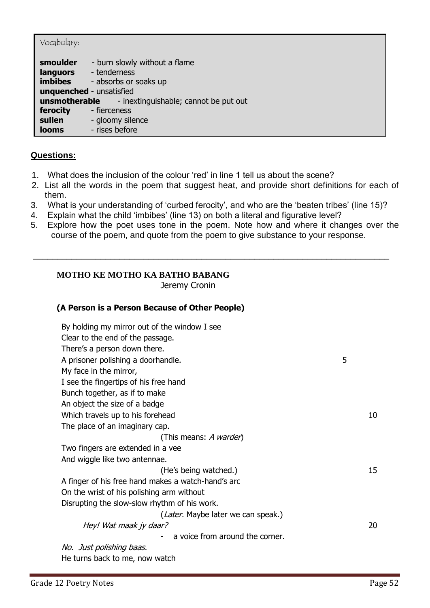# Vocabulary:

| smoulder<br>languors | - burn slowly without a flame<br>- tenderness              |
|----------------------|------------------------------------------------------------|
| <b>imbibes</b>       | - absorbs or soaks up                                      |
|                      | unquenched - unsatisfied                                   |
|                      | <b>unsmotherable</b> - inextinguishable; cannot be put out |
| ferocity             | - fierceness                                               |
| sullen               | - gloomy silence                                           |
| <b>looms</b>         | - rises before                                             |

# **Questions:**

- 1. What does the inclusion of the colour 'red' in line 1 tell us about the scene?
- 2. List all the words in the poem that suggest heat, and provide short definitions for each of them.
- 3. What is your understanding of 'curbed ferocity', and who are the 'beaten tribes' (line 15)?
- 4. Explain what the child 'imbibes' (line 13) on both a literal and figurative level?
- 5. Explore how the poet uses tone in the poem. Note how and where it changes over the course of the poem, and quote from the poem to give substance to your response.

\_\_\_\_\_\_\_\_\_\_\_\_\_\_\_\_\_\_\_\_\_\_\_\_\_\_\_\_\_\_\_\_\_\_\_\_\_\_\_\_\_\_\_\_\_\_\_\_\_\_\_\_\_\_\_\_\_\_\_\_\_\_\_\_\_\_\_\_\_\_\_\_\_\_

# **MOTHO KE MOTHO KA BATHO BABANG**

Jeremy Cronin

# **(A Person is a Person Because of Other People)**

| By holding my mirror out of the window I see       |   |    |
|----------------------------------------------------|---|----|
| Clear to the end of the passage.                   |   |    |
| There's a person down there.                       |   |    |
| A prisoner polishing a doorhandle.                 | 5 |    |
| My face in the mirror,                             |   |    |
| I see the fingertips of his free hand              |   |    |
| Bunch together, as if to make                      |   |    |
| An object the size of a badge                      |   |    |
| Which travels up to his forehead                   |   | 10 |
| The place of an imaginary cap.                     |   |    |
| (This means: A warder)                             |   |    |
| Two fingers are extended in a vee                  |   |    |
| And wiggle like two antennae.                      |   |    |
| (He's being watched.)                              |   | 15 |
| A finger of his free hand makes a watch-hand's arc |   |    |
| On the wrist of his polishing arm without          |   |    |
| Disrupting the slow-slow rhythm of his work.       |   |    |
| (Later. Maybe later we can speak.)                 |   |    |
| Hey! Wat maak jy daar?                             |   | 20 |
| a voice from around the corner.                    |   |    |
| No. Just polishing baas.                           |   |    |
| He turns back to me, now watch                     |   |    |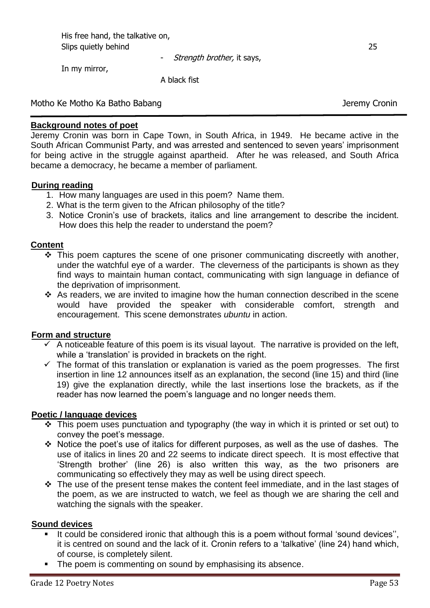His free hand, the talkative on, Slips quietly behind 25

- Strength brother, it says,

In my mirror,

A black fist

Motho Ke Motho Ka Batho Babang Jeremy Cronin

# **Background notes of poet**

Jeremy Cronin was born in Cape Town, in South Africa, in 1949. He became active in the South African Communist Party, and was arrested and sentenced to seven years' imprisonment for being active in the struggle against apartheid. After he was released, and South Africa became a democracy, he became a member of parliament.

# **During reading**

- 1. How many languages are used in this poem? Name them.
- 2. What is the term given to the African philosophy of the title?
- 3. Notice Cronin's use of brackets, italics and line arrangement to describe the incident. How does this help the reader to understand the poem?

# **Content**

- $\cdot$  This poem captures the scene of one prisoner communicating discreetly with another, under the watchful eye of a warder. The cleverness of the participants is shown as they find ways to maintain human contact, communicating with sign language in defiance of the deprivation of imprisonment.
- $\cdot$  As readers, we are invited to imagine how the human connection described in the scene would have provided the speaker with considerable comfort, strength and encouragement. This scene demonstrates *ubuntu* in action.

# **Form and structure**

- $\checkmark$  A noticeable feature of this poem is its visual layout. The narrative is provided on the left, while a 'translation' is provided in brackets on the right.
- $\checkmark$  The format of this translation or explanation is varied as the poem progresses. The first insertion in line 12 announces itself as an explanation, the second (line 15) and third (line 19) give the explanation directly, while the last insertions lose the brackets, as if the reader has now learned the poem's language and no longer needs them.

# **Poetic / language devices**

- $\cdot \cdot$  This poem uses punctuation and typography (the way in which it is printed or set out) to convey the poet's message.
- Notice the poet's use of italics for different purposes, as well as the use of dashes. The use of italics in lines 20 and 22 seems to indicate direct speech. It is most effective that 'Strength brother' (line 26) is also written this way, as the two prisoners are communicating so effectively they may as well be using direct speech.
- $\cdot$  The use of the present tense makes the content feel immediate, and in the last stages of the poem, as we are instructed to watch, we feel as though we are sharing the cell and watching the signals with the speaker.

# **Sound devices**

- It could be considered ironic that although this is a poem without formal 'sound devices", it is centred on sound and the lack of it. Cronin refers to a 'talkative' (line 24) hand which, of course, is completely silent.
- The poem is commenting on sound by emphasising its absence.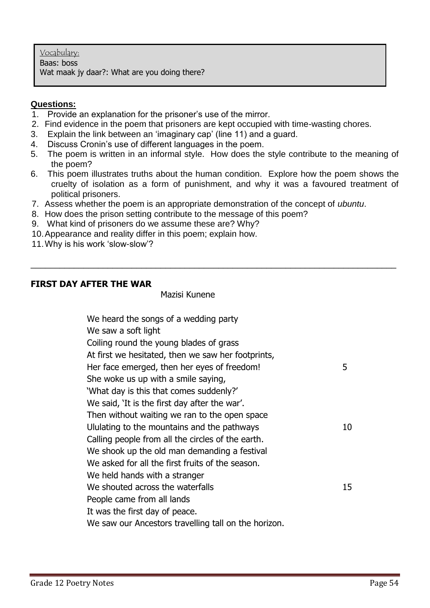# **Questions:**

- 1. Provide an explanation for the prisoner's use of the mirror.
- 2. Find evidence in the poem that prisoners are kept occupied with time-wasting chores.
- 3. Explain the link between an 'imaginary cap' (line 11) and a guard.
- 4. Discuss Cronin's use of different languages in the poem.
- 5. The poem is written in an informal style. How does the style contribute to the meaning of the poem?
- 6. This poem illustrates truths about the human condition. Explore how the poem shows the cruelty of isolation as a form of punishment, and why it was a favoured treatment of political prisoners.

\_\_\_\_\_\_\_\_\_\_\_\_\_\_\_\_\_\_\_\_\_\_\_\_\_\_\_\_\_\_\_\_\_\_\_\_\_\_\_\_\_\_\_\_\_\_\_\_\_\_\_\_\_\_\_\_\_\_\_\_\_\_\_\_\_\_\_\_\_\_\_\_\_\_\_\_

- 7. Assess whether the poem is an appropriate demonstration of the concept of *ubuntu*.
- 8. How does the prison setting contribute to the message of this poem?
- 9. What kind of prisoners do we assume these are? Why?
- 10.Appearance and reality differ in this poem; explain how.
- 11.Why is his work 'slow-slow'?

# **FIRST DAY AFTER THE WAR**

Mazisi Kunene

| We heard the songs of a wedding party                |    |
|------------------------------------------------------|----|
| We saw a soft light                                  |    |
| Coiling round the young blades of grass              |    |
| At first we hesitated, then we saw her footprints,   |    |
| Her face emerged, then her eyes of freedom!          | 5  |
| She woke us up with a smile saying,                  |    |
| 'What day is this that comes suddenly?'              |    |
| We said, 'It is the first day after the war'.        |    |
| Then without waiting we ran to the open space        |    |
| Ululating to the mountains and the pathways          | 10 |
| Calling people from all the circles of the earth.    |    |
| We shook up the old man demanding a festival         |    |
| We asked for all the first fruits of the season.     |    |
| We held hands with a stranger                        |    |
| We shouted across the waterfalls                     | 15 |
| People came from all lands                           |    |
| It was the first day of peace.                       |    |
| We saw our Ancestors travelling tall on the horizon. |    |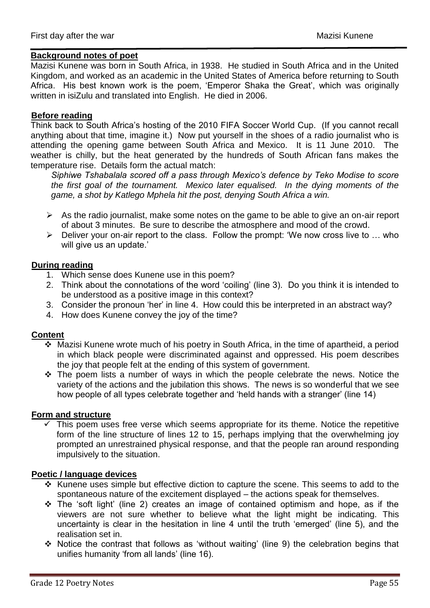### **Background notes of poet**

Mazisi Kunene was born in South Africa, in 1938. He studied in South Africa and in the United Kingdom, and worked as an academic in the United States of America before returning to South Africa. His best known work is the poem, 'Emperor Shaka the Great', which was originally written in isiZulu and translated into English. He died in 2006.

### **Before reading**

Think back to South Africa's hosting of the 2010 FIFA Soccer World Cup. (If you cannot recall anything about that time, imagine it.) Now put yourself in the shoes of a radio journalist who is attending the opening game between South Africa and Mexico. It is 11 June 2010. The weather is chilly, but the heat generated by the hundreds of South African fans makes the temperature rise. Details form the actual match:

*Siphiwe Tshabalala scored off a pass through Mexico's defence by Teko Modise to score the first goal of the tournament. Mexico later equalised. In the dying moments of the game, a shot by Katlego Mphela hit the post, denying South Africa a win.*

- $\triangleright$  As the radio journalist, make some notes on the game to be able to give an on-air report of about 3 minutes. Be sure to describe the atmosphere and mood of the crowd.
- $\triangleright$  Deliver your on-air report to the class. Follow the prompt: 'We now cross live to ... who will give us an update.'

### **During reading**

- 1. Which sense does Kunene use in this poem?
- 2. Think about the connotations of the word 'coiling' (line 3). Do you think it is intended to be understood as a positive image in this context?
- 3. Consider the pronoun 'her' in line 4. How could this be interpreted in an abstract way?
- 4. How does Kunene convey the joy of the time?

# **Content**

- Mazisi Kunene wrote much of his poetry in South Africa, in the time of apartheid, a period in which black people were discriminated against and oppressed. His poem describes the joy that people felt at the ending of this system of government.
- The poem lists a number of ways in which the people celebrate the news. Notice the variety of the actions and the jubilation this shows. The news is so wonderful that we see how people of all types celebrate together and 'held hands with a stranger' (line 14)

#### **Form and structure**

 $\checkmark$  This poem uses free verse which seems appropriate for its theme. Notice the repetitive form of the line structure of lines 12 to 15, perhaps implying that the overwhelming joy prompted an unrestrained physical response, and that the people ran around responding impulsively to the situation.

#### **Poetic / language devices**

- $\cdot$  Kunene uses simple but effective diction to capture the scene. This seems to add to the spontaneous nature of the excitement displayed – the actions speak for themselves.
- $\div$  The 'soft light' (line 2) creates an image of contained optimism and hope, as if the viewers are not sure whether to believe what the light might be indicating. This uncertainty is clear in the hesitation in line 4 until the truth 'emerged' (line 5), and the realisation set in.
- Notice the contrast that follows as 'without waiting' (line 9) the celebration begins that unifies humanity 'from all lands' (line 16).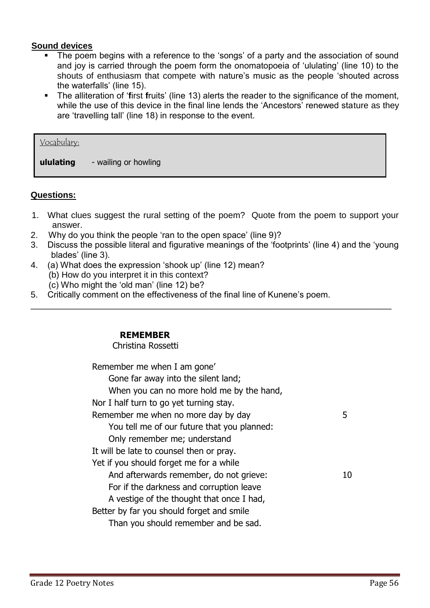# **Sound devices**

- The poem begins with a reference to the 'songs' of a party and the association of sound and joy is carried through the poem form the onomatopoeia of 'ululating' (line 10) to the shouts of enthusiasm that compete with nature's music as the people 'shouted across the waterfalls' (line 15).
- The alliteration of '**f**irst **f**ruits' (line 13) alerts the reader to the significance of the moment, while the use of this device in the final line lends the 'Ancestors' renewed stature as they are 'travelling tall' (line 18) in response to the event.

| Vocabulary: |                      |
|-------------|----------------------|
| ululating   | - wailing or howling |

# **Questions:**

- 1. What clues suggest the rural setting of the poem? Quote from the poem to support your answer.
- 2. Why do you think the people 'ran to the open space' (line 9)?
- 3. Discuss the possible literal and figurative meanings of the 'footprints' (line 4) and the 'young blades' (line 3).

\_\_\_\_\_\_\_\_\_\_\_\_\_\_\_\_\_\_\_\_\_\_\_\_\_\_\_\_\_\_\_\_\_\_\_\_\_\_\_\_\_\_\_\_\_\_\_\_\_\_\_\_\_\_\_\_\_\_\_\_\_\_\_\_\_\_\_\_\_\_\_\_\_\_\_

- 4. (a) What does the expression 'shook up' (line 12) mean?
	- (b) How do you interpret it in this context?
	- (c) Who might the 'old man' (line 12) be?
- 5. Critically comment on the effectiveness of the final line of Kunene's poem.

# **REMEMBER**

# Christina Rossetti

Remember me when I am gone' Gone far away into the silent land; When you can no more hold me by the hand, Nor I half turn to go yet turning stay. Remember me when no more day by day 1988 You tell me of our future that you planned: Only remember me; understand It will be late to counsel then or pray. Yet if you should forget me for a while And afterwards remember, do not grieve: 10 For if the darkness and corruption leave A vestige of the thought that once I had, Better by far you should forget and smile Than you should remember and be sad.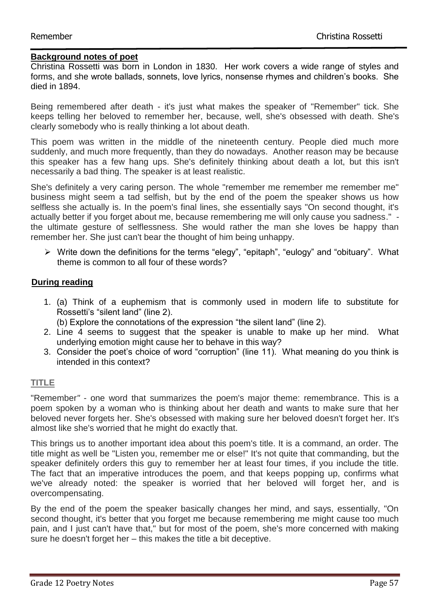# **Background notes of poet**

Christina Rossetti was born in London in 1830. Her work covers a wide range of styles and forms, and she wrote ballads, sonnets, love lyrics, nonsense rhymes and children's books. She died in 1894.

Being remembered after death - it's just what makes the speaker of "Remember" tick. She keeps telling her beloved to remember her, because, well, she's obsessed with death. She's clearly somebody who is really thinking a lot about death.

This poem was written in the middle of the nineteenth century. People died much more suddenly, and much more frequently, than they do nowadays. Another reason may be because this speaker has a few hang ups. She's definitely thinking about death a lot, but this isn't necessarily a bad thing. The speaker is at least realistic.

She's definitely a very caring person. The whole "remember me remember me remember me" business might seem a tad selfish, but by the end of the poem the speaker shows us how selfless she actually is. In the poem's final lines, she essentially says "On second thought, it's actually better if you forget about me, because remembering me will only cause you sadness." the ultimate gesture of selflessness. She would rather the man she loves be happy than remember her. She just can't bear the thought of him being unhappy.

 $\triangleright$  Write down the definitions for the terms "elegy", "epitaph", "eulogy" and "obituary". What theme is common to all four of these words?

# **During reading**

- 1. (a) Think of a euphemism that is commonly used in modern life to substitute for Rossetti's "silent land" (line 2).
	- (b) Explore the connotations of the expression "the silent land" (line 2).
- 2. Line 4 seems to suggest that the speaker is unable to make up her mind. What underlying emotion might cause her to behave in this way?
- 3. Consider the poet's choice of word "corruption" (line 11). What meaning do you think is intended in this context?

# **TITLE**

"Remember*"* - one word that summarizes the poem's major theme: remembrance. This is a poem spoken by a woman who is thinking about her death and wants to make sure that her beloved never forgets her. She's obsessed with making sure her beloved doesn't forget her. It's almost like she's worried that he might do exactly that.

This brings us to another important idea about this poem's title. It is a command, an order. The title might as well be "Listen you, remember me or else!" It's not quite that commanding, but the speaker definitely orders this guy to remember her at least four times, if you include the title. The fact that an imperative introduces the poem, and that keeps popping up, confirms what we've already noted: the speaker is worried that her beloved will forget her, and is overcompensating.

By the end of the poem the speaker basically changes her mind, and says, essentially, "On second thought, it's better that you forget me because remembering me might cause too much pain, and I just can't have that," but for most of the poem, she's more concerned with making sure he doesn't forget her – this makes the title a bit deceptive.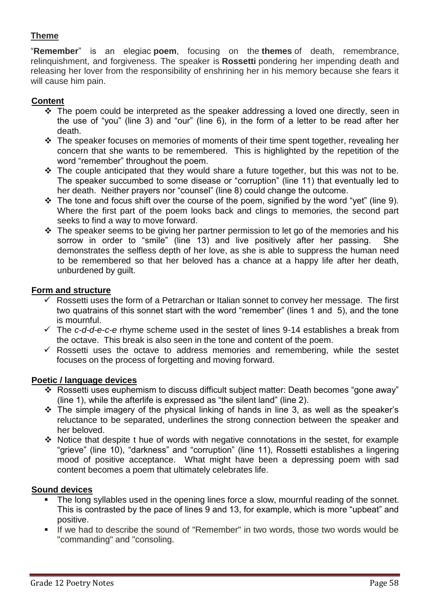# **Theme**

"**Remember**" is an elegiac **poem**, focusing on the **themes** of death, remembrance, relinquishment, and forgiveness. The speaker is **Rossetti** pondering her impending death and releasing her lover from the responsibility of enshrining her in his memory because she fears it will cause him pain.

# **Content**

- $\div$  The poem could be interpreted as the speaker addressing a loved one directly, seen in the use of "you" (line 3) and "our" (line 6), in the form of a letter to be read after her death.
- $\cdot$  The speaker focuses on memories of moments of their time spent together, revealing her concern that she wants to be remembered. This is highlighted by the repetition of the word "remember" throughout the poem.
- $\cdot \cdot$  The couple anticipated that they would share a future together, but this was not to be. The speaker succumbed to some disease or "corruption" (line 11) that eventually led to her death. Neither prayers nor "counsel" (line 8) could change the outcome.
- $\cdot$  The tone and focus shift over the course of the poem, signified by the word "yet" (line 9). Where the first part of the poem looks back and clings to memories, the second part seeks to find a way to move forward.
- $\cdot \cdot$  The speaker seems to be giving her partner permission to let go of the memories and his sorrow in order to "smile" (line 13) and live positively after her passing. She demonstrates the selfless depth of her love, as she is able to suppress the human need to be remembered so that her beloved has a chance at a happy life after her death, unburdened by guilt.

# **Form and structure**

- $\checkmark$  Rossetti uses the form of a Petrarchan or Italian sonnet to convey her message. The first two quatrains of this sonnet start with the word "remember" (lines 1 and 5), and the tone is mournful.
- The *c-d-d-e-c-e* rhyme scheme used in the sestet of lines 9-14 establishes a break from the octave. This break is also seen in the tone and content of the poem.
- $\checkmark$  Rossetti uses the octave to address memories and remembering, while the sestet focuses on the process of forgetting and moving forward.

# **Poetic / language devices**

- \* Rossetti uses euphemism to discuss difficult subject matter: Death becomes "gone away" (line 1), while the afterlife is expressed as "the silent land" (line 2).
- $\div$  The simple imagery of the physical linking of hands in line 3, as well as the speaker's reluctance to be separated, underlines the strong connection between the speaker and her beloved.
- Notice that despite t hue of words with negative connotations in the sestet, for example "grieve" (line 10), "darkness" and "corruption" (line 11), Rossetti establishes a lingering mood of positive acceptance. What might have been a depressing poem with sad content becomes a poem that ultimately celebrates life.

# **Sound devices**

- The long syllables used in the opening lines force a slow, mournful reading of the sonnet. This is contrasted by the pace of lines 9 and 13, for example, which is more "upbeat" and positive.
- If we had to describe the sound of "Remember" in two words, those two words would be "commanding" and "consoling.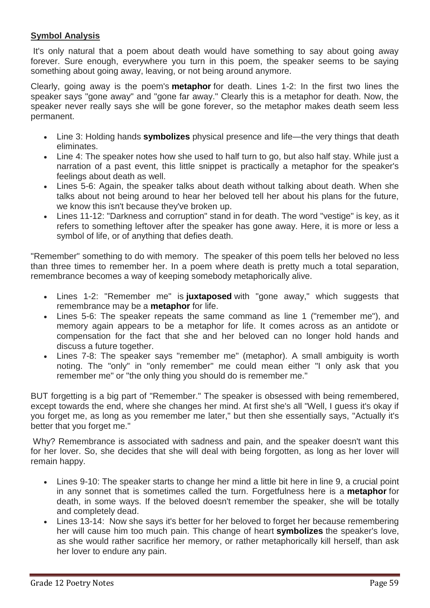# **Symbol Analysis**

It's only natural that a poem about death would have something to say about going away forever. Sure enough, everywhere you turn in this poem, the speaker seems to be saying something about going away, leaving, or not being around anymore.

Clearly, going away is the poem's **[metaphor](http://www.shmoop.com/literature-glossary/metaphor.html)** for death. Lines 1-2: In the first two lines the speaker says "gone away" and "gone far away." Clearly this is a metaphor for death. Now, the speaker never really says she will be gone forever, so the metaphor makes death seem less permanent.

- Line 3: Holding hands **[symbolizes](http://www.shmoop.com/literature-glossary/symbol.html)** physical presence and life—the very things that death eliminates.
- Line 4: The speaker notes how she used to half turn to go, but also half stay. While just a narration of a past event, this little snippet is practically a metaphor for the speaker's feelings about death as well.
- Lines 5-6: Again, the speaker talks about death without talking about death. When she talks about not being around to hear her beloved tell her about his plans for the future, we know this isn't because they've broken up.
- Lines 11-12: "Darkness and corruption" stand in for death. The word "vestige" is key, as it refers to something leftover after the speaker has gone away. Here, it is more or less a symbol of life, or of anything that defies death.

"Remember" something to do with memory. The speaker of this poem tells her beloved no less than three times to remember her. In a poem where death is pretty much a total separation, remembrance becomes a way of keeping somebody metaphorically alive.

- Lines 1-2: "Remember me" is **[juxtaposed](http://www.shmoop.com/literature-glossary/juxtaposition.html)** with "gone away," which suggests that remembrance may be a **[metaphor](http://www.shmoop.com/literature-glossary/metaphor.html)** for life.
- Lines 5-6: The speaker repeats the same command as line 1 ("remember me"), and memory again appears to be a metaphor for life. It comes across as an antidote or compensation for the fact that she and her beloved can no longer hold hands and discuss a future together.
- Lines 7-8: The speaker says "remember me" (metaphor). A small ambiguity is worth noting. The "only" in "only remember" me could mean either "I only ask that you remember me" or "the only thing you should do is remember me."

BUT forgetting is a big part of "Remember." The speaker is obsessed with being remembered, except towards the end, where she changes her mind. At first she's all "Well, I guess it's okay if you forget me, as long as you remember me later," but then she essentially says, "Actually it's better that you forget me."

Why? Remembrance is associated with sadness and pain, and the speaker doesn't want this for her lover. So, she decides that she will deal with being forgotten, as long as her lover will remain happy.

- Lines 9-10: The speaker starts to change her mind a little bit here in line 9, a crucial point in any sonnet that is sometimes called the turn. Forgetfulness here is a **[metaphor](http://www.shmoop.com/literature-glossary/metaphor.html)** for death, in some ways. If the beloved doesn't remember the speaker, she will be totally and completely dead.
- Lines 13-14: Now she says it's better for her beloved to forget her because remembering her will cause him too much pain. This change of heart **[symbolizes](http://www.shmoop.com/literature-glossary/symbol.html)** the speaker's love, as she would rather sacrifice her memory, or rather metaphorically kill herself, than ask her lover to endure any pain.